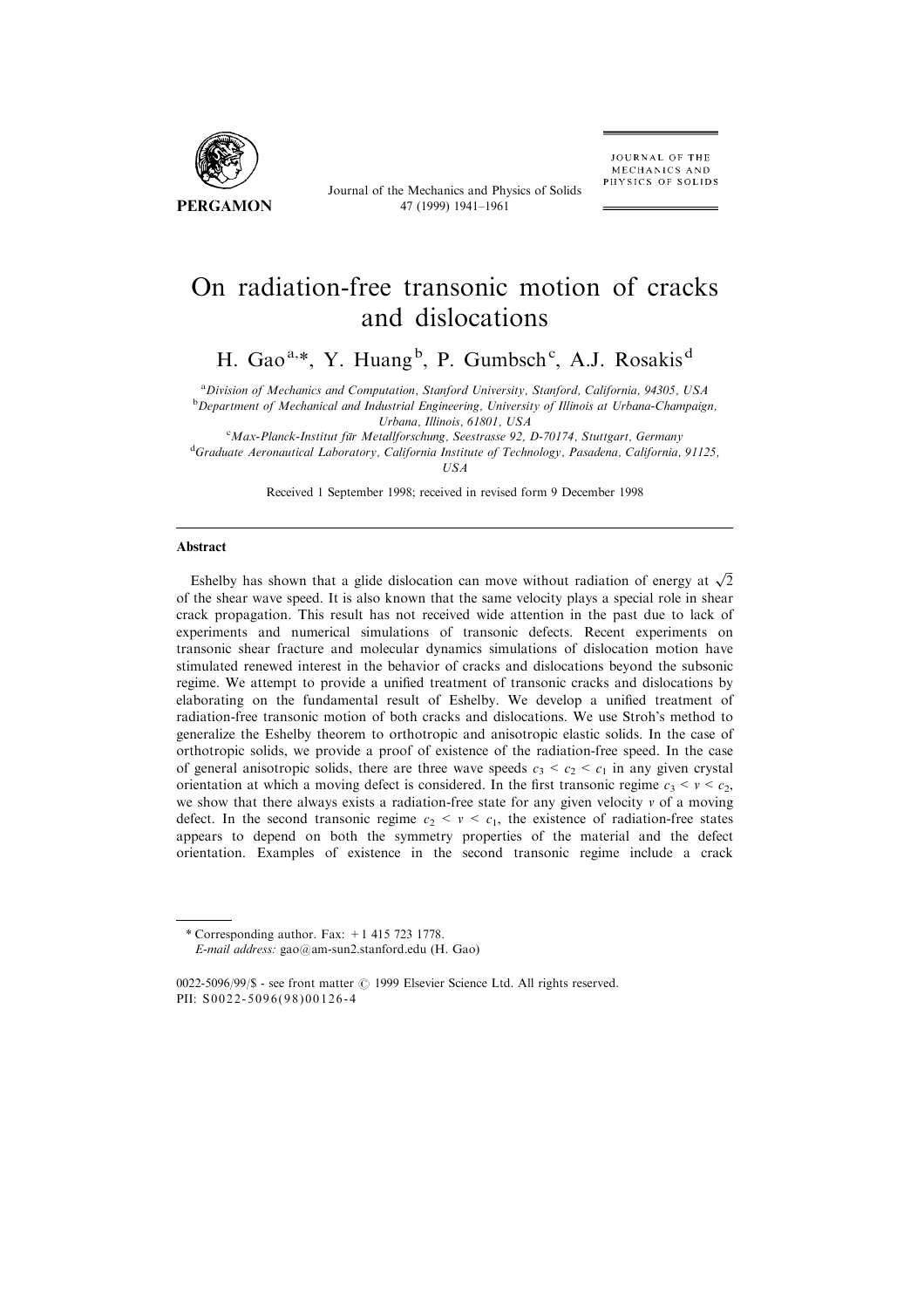

Journal of the Mechanics and Physics of Solids 47 (1999) 1941±1961

# On radiation-free transonic motion of cracks and dislocations

H. Gao<sup>a,\*</sup>, Y. Huang<sup>b</sup>, P. Gumbsch<sup>c</sup>, A.J. Rosakis<sup>d</sup>

<sup>a</sup> Division of Mechanics and Computation, Stanford University, Stanford, California, 94305, USA<br><sup>b</sup> Department of Mechanical and Industrial Engineering, University of Illinois at Unkang Champaic  $b$ Department of Mechanical and Industrial Engineering, University of Illinois at Urbana-Champaign, Urbana, Illinois, 61801, USA<br>CMax Planek Institut für Metallforsehung, Seestrasse 02

 $^{\circ}$ Max-Planck-Institut für Metallforschung, Seestrasse 92, D-70174, Stuttgart, Germany<br><sup>d</sup>Graduate Agropautieel Laboratory California Institute of Technology, Basedona, California

<sup>d</sup>Graduate Aeronautical Laboratory, California Institute of Technology, Pasadena, California, 91125, USA

Received 1 September 1998; received in revised form 9 December 1998

#### Abstract

Eshelby has shown that a glide dislocation can move without radiation of energy at  $\sqrt{2}$ of the shear wave speed. It is also known that the same velocity plays a special role in shear crack propagation. This result has not received wide attention in the past due to lack of experiments and numerical simulations of transonic defects. Recent experiments on transonic shear fracture and molecular dynamics simulations of dislocation motion have stimulated renewed interest in the behavior of cracks and dislocations beyond the subsonic regime. We attempt to provide a unified treatment of transonic cracks and dislocations by elaborating on the fundamental result of Eshelby. We develop a unified treatment of radiation-free transonic motion of both cracks and dislocations. We use Stroh's method to generalize the Eshelby theorem to orthotropic and anisotropic elastic solids. In the case of orthotropic solids, we provide a proof of existence of the radiation-free speed. In the case of general anisotropic solids, there are three wave speeds  $c_3 < c_2 < c_1$  in any given crystal orientation at which a moving defect is considered. In the first transonic regime  $c_3 < v < c_2$ , we show that there always exists a radiation-free state for any given velocity  $\nu$  of a moving defect. In the second transonic regime  $c_2 < v < c_1$ , the existence of radiation-free states appears to depend on both the symmetry properties of the material and the defect orientation. Examples of existence in the second transonic regime include a crack

\* Corresponding author. Fax:  $+1$  415 723 1778. E-mail address: gao@am-sun2.stanford.edu (H. Gao)

 $0022-5096/99/$ \$ - see front matter  $\odot$  1999 Elsevier Science Ltd. All rights reserved. PII: S0022-5096(98)00126-4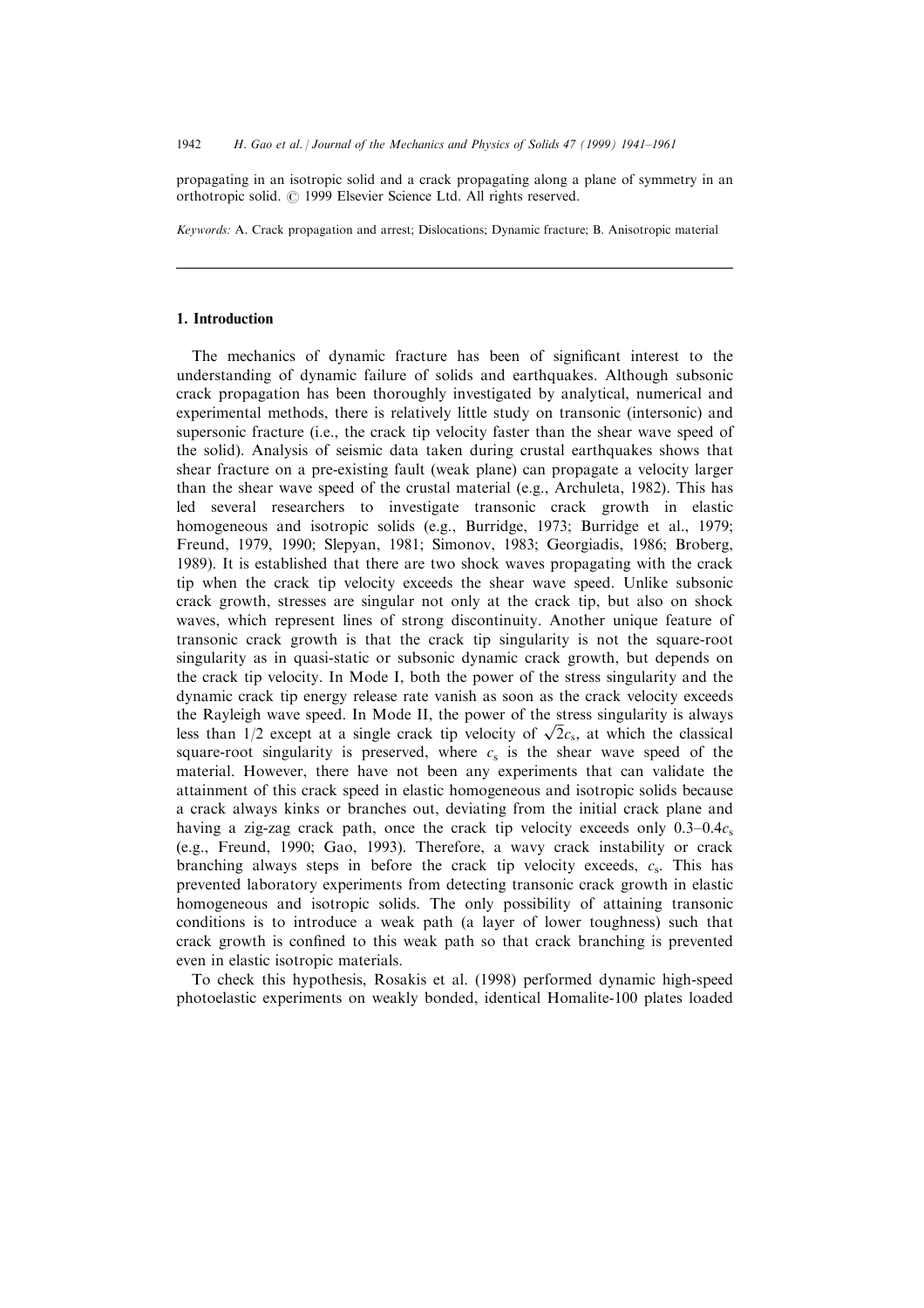propagating in an isotropic solid and a crack propagating along a plane of symmetry in an orthotropic solid.  $\odot$  1999 Elsevier Science Ltd. All rights reserved.

Keywords: A. Crack propagation and arrest; Dislocations; Dynamic fracture; B. Anisotropic material

# 1. Introduction

The mechanics of dynamic fracture has been of significant interest to the understanding of dynamic failure of solids and earthquakes. Although subsonic crack propagation has been thoroughly investigated by analytical, numerical and experimental methods, there is relatively little study on transonic (intersonic) and supersonic fracture (i.e., the crack tip velocity faster than the shear wave speed of the solid). Analysis of seismic data taken during crustal earthquakes shows that shear fracture on a pre-existing fault (weak plane) can propagate a velocity larger than the shear wave speed of the crustal material (e.g., Archuleta, 1982). This has led several researchers to investigate transonic crack growth in elastic homogeneous and isotropic solids (e.g., Burridge, 1973; Burridge et al., 1979; Freund, 1979, 1990; Slepyan, 1981; Simonov, 1983; Georgiadis, 1986; Broberg, 1989). It is established that there are two shock waves propagating with the crack tip when the crack tip velocity exceeds the shear wave speed. Unlike subsonic crack growth, stresses are singular not only at the crack tip, but also on shock waves, which represent lines of strong discontinuity. Another unique feature of transonic crack growth is that the crack tip singularity is not the square-root singularity as in quasi-static or subsonic dynamic crack growth, but depends on the crack tip velocity. In Mode I, both the power of the stress singularity and the dynamic crack tip energy release rate vanish as soon as the crack velocity exceeds the Rayleigh wave speed. In Mode II, the power of the stress singularity is always less than  $1/2$  except at a single crack tip velocity of  $\sqrt{2}c_s$ , at which the classical square-root singularity is preserved, where  $c<sub>s</sub>$  is the shear wave speed of the material. However, there have not been any experiments that can validate the attainment of this crack speed in elastic homogeneous and isotropic solids because a crack always kinks or branches out, deviating from the initial crack plane and having a zig-zag crack path, once the crack tip velocity exceeds only  $0.3-0.4c_s$ (e.g., Freund, 1990; Gao, 1993). Therefore, a wavy crack instability or crack branching always steps in before the crack tip velocity exceeds,  $c_s$ . This has prevented laboratory experiments from detecting transonic crack growth in elastic homogeneous and isotropic solids. The only possibility of attaining transonic conditions is to introduce a weak path (a layer of lower toughness) such that crack growth is confined to this weak path so that crack branching is prevented even in elastic isotropic materials.

To check this hypothesis, Rosakis et al. (1998) performed dynamic high-speed photoelastic experiments on weakly bonded, identical Homalite-100 plates loaded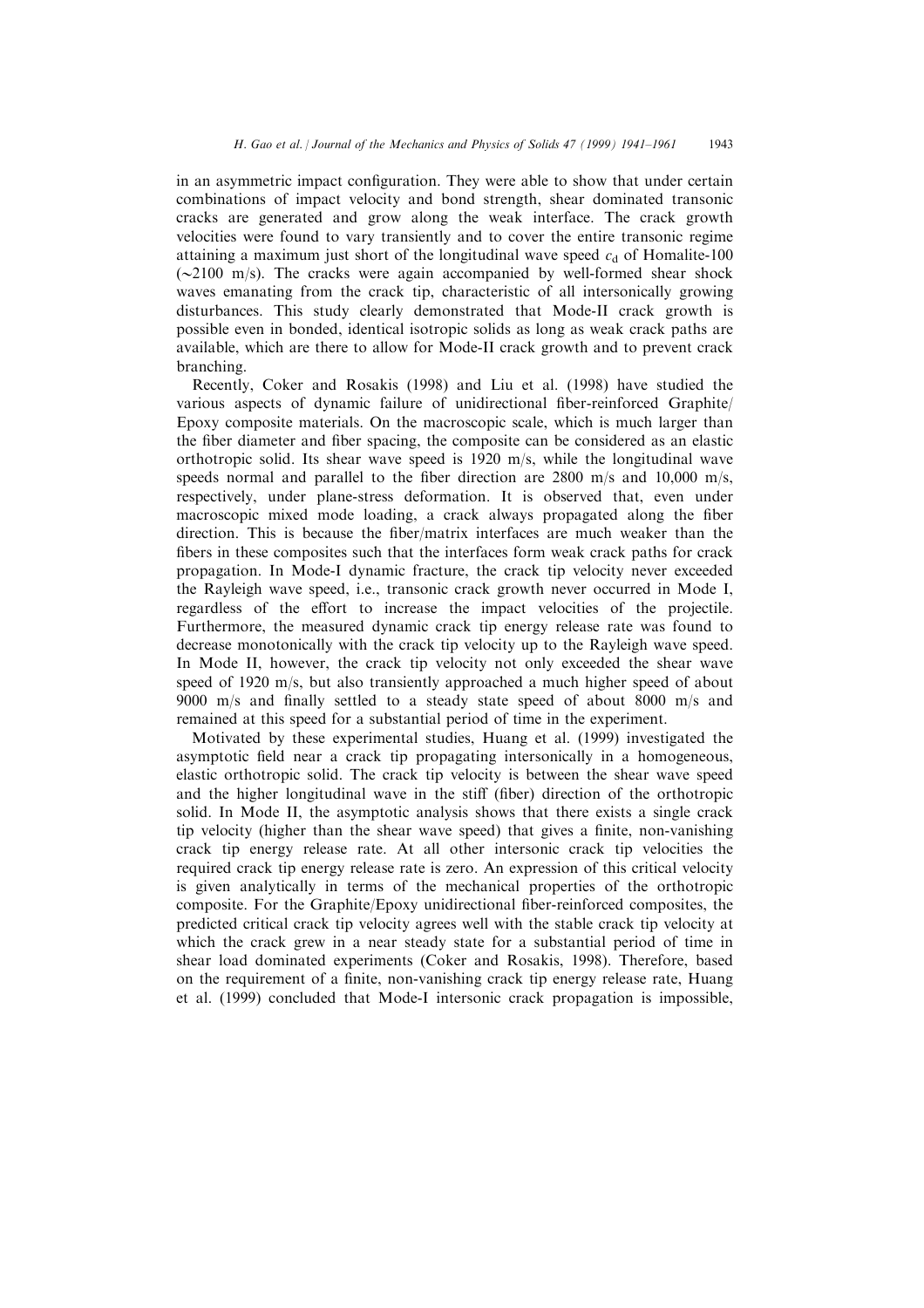in an asymmetric impact configuration. They were able to show that under certain combinations of impact velocity and bond strength, shear dominated transonic cracks are generated and grow along the weak interface. The crack growth velocities were found to vary transiently and to cover the entire transonic regime attaining a maximum just short of the longitudinal wave speed  $c<sub>d</sub>$  of Homalite-100  $(\sim 2100 \text{ m/s})$ . The cracks were again accompanied by well-formed shear shock waves emanating from the crack tip, characteristic of all intersonically growing disturbances. This study clearly demonstrated that Mode-II crack growth is possible even in bonded, identical isotropic solids as long as weak crack paths are available, which are there to allow for Mode-II crack growth and to prevent crack branching.

Recently, Coker and Rosakis (1998) and Liu et al. (1998) have studied the various aspects of dynamic failure of unidirectional fiber-reinforced Graphite/ Epoxy composite materials. On the macroscopic scale, which is much larger than the fiber diameter and fiber spacing, the composite can be considered as an elastic orthotropic solid. Its shear wave speed is 1920 m/s, while the longitudinal wave speeds normal and parallel to the fiber direction are  $2800 \text{ m/s}$  and  $10,000 \text{ m/s}$ , respectively, under plane-stress deformation. It is observed that, even under macroscopic mixed mode loading, a crack always propagated along the fiber direction. This is because the fiber/matrix interfaces are much weaker than the fibers in these composites such that the interfaces form weak crack paths for crack propagation. In Mode-I dynamic fracture, the crack tip velocity never exceeded the Rayleigh wave speed, i.e., transonic crack growth never occurred in Mode I, regardless of the effort to increase the impact velocities of the projectile. Furthermore, the measured dynamic crack tip energy release rate was found to decrease monotonically with the crack tip velocity up to the Rayleigh wave speed. In Mode II, however, the crack tip velocity not only exceeded the shear wave speed of 1920 m/s, but also transiently approached a much higher speed of about 9000 m/s and finally settled to a steady state speed of about 8000 m/s and remained at this speed for a substantial period of time in the experiment.

Motivated by these experimental studies, Huang et al. (1999) investigated the asymptotic field near a crack tip propagating intersonically in a homogeneous, elastic orthotropic solid. The crack tip velocity is between the shear wave speed and the higher longitudinal wave in the stiff (fiber) direction of the orthotropic solid. In Mode II, the asymptotic analysis shows that there exists a single crack tip velocity (higher than the shear wave speed) that gives a finite, non-vanishing crack tip energy release rate. At all other intersonic crack tip velocities the required crack tip energy release rate is zero. An expression of this critical velocity is given analytically in terms of the mechanical properties of the orthotropic composite. For the Graphite/Epoxy unidirectional fiber-reinforced composites, the predicted critical crack tip velocity agrees well with the stable crack tip velocity at which the crack grew in a near steady state for a substantial period of time in shear load dominated experiments (Coker and Rosakis, 1998). Therefore, based on the requirement of a finite, non-vanishing crack tip energy release rate, Huang et al. (1999) concluded that Mode-I intersonic crack propagation is impossible,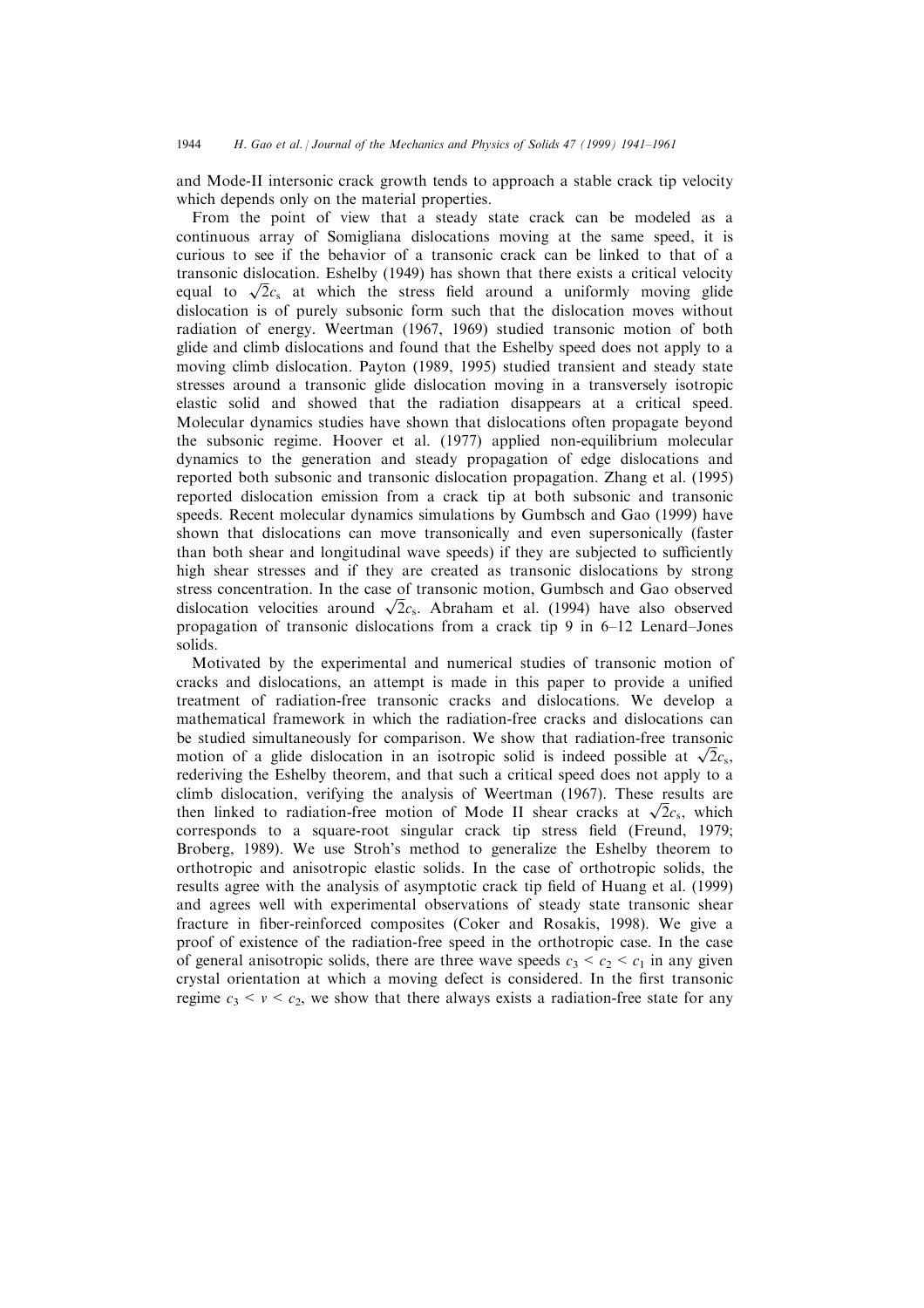and Mode-II intersonic crack growth tends to approach a stable crack tip velocity which depends only on the material properties.

From the point of view that a steady state crack can be modeled as a continuous array of Somigliana dislocations moving at the same speed, it is curious to see if the behavior of a transonic crack can be linked to that of a transonic dislocation. Eshelby (1949) has shown that there exists a critical velocity equal to  $\sqrt{2}c_s$  at which the stress field around a uniformly moving glide dislocation is of purely subsonic form such that the dislocation moves without radiation of energy. Weertman (1967, 1969) studied transonic motion of both glide and climb dislocations and found that the Eshelby speed does not apply to a moving climb dislocation. Payton (1989, 1995) studied transient and steady state stresses around a transonic glide dislocation moving in a transversely isotropic elastic solid and showed that the radiation disappears at a critical speed. Molecular dynamics studies have shown that dislocations often propagate beyond the subsonic regime. Hoover et al. (1977) applied non-equilibrium molecular dynamics to the generation and steady propagation of edge dislocations and reported both subsonic and transonic dislocation propagation. Zhang et al. (1995) reported dislocation emission from a crack tip at both subsonic and transonic speeds. Recent molecular dynamics simulations by Gumbsch and Gao (1999) have shown that dislocations can move transonically and even supersonically (faster than both shear and longitudinal wave speeds) if they are subjected to sufficiently high shear stresses and if they are created as transonic dislocations by strong stress concentration. In the case of transonic motion, Gumbsch and Gao observed dislocation velocities around  $\sqrt{2}c_s$ . Abraham et al. (1994) have also observed propagation of transonic dislocations from a crack tip 9 in  $6-12$  Lenard–Jones solids.

Motivated by the experimental and numerical studies of transonic motion of cracks and dislocations, an attempt is made in this paper to provide a unified treatment of radiation-free transonic cracks and dislocations. We develop a mathematical framework in which the radiation-free cracks and dislocations can be studied simultaneously for comparison. We show that radiation-free transonic motion of a glide dislocation in an isotropic solid is indeed possible at  $\sqrt{2}c_s$ , rederiving the Eshelby theorem, and that such a critical speed does not apply to a climb dislocation, verifying the analysis of Weertman (1967). These results are then linked to radiation-free motion of Mode II shear cracks at  $\sqrt{2}c_s$ , which  $corresponds$  to a square-root singular crack tip stress field (Freund, 1979; Broberg, 1989). We use Stroh's method to generalize the Eshelby theorem to orthotropic and anisotropic elastic solids. In the case of orthotropic solids, the results agree with the analysis of asymptotic crack tip field of Huang et al. (1999) and agrees well with experimental observations of steady state transonic shear fracture in fiber-reinforced composites (Coker and Rosakis, 1998). We give a proof of existence of the radiation-free speed in the orthotropic case. In the case of general anisotropic solids, there are three wave speeds  $c_3 < c_2 < c_1$  in any given crystal orientation at which a moving defect is considered. In the first transonic regime  $c_3 < v < c_2$ , we show that there always exists a radiation-free state for any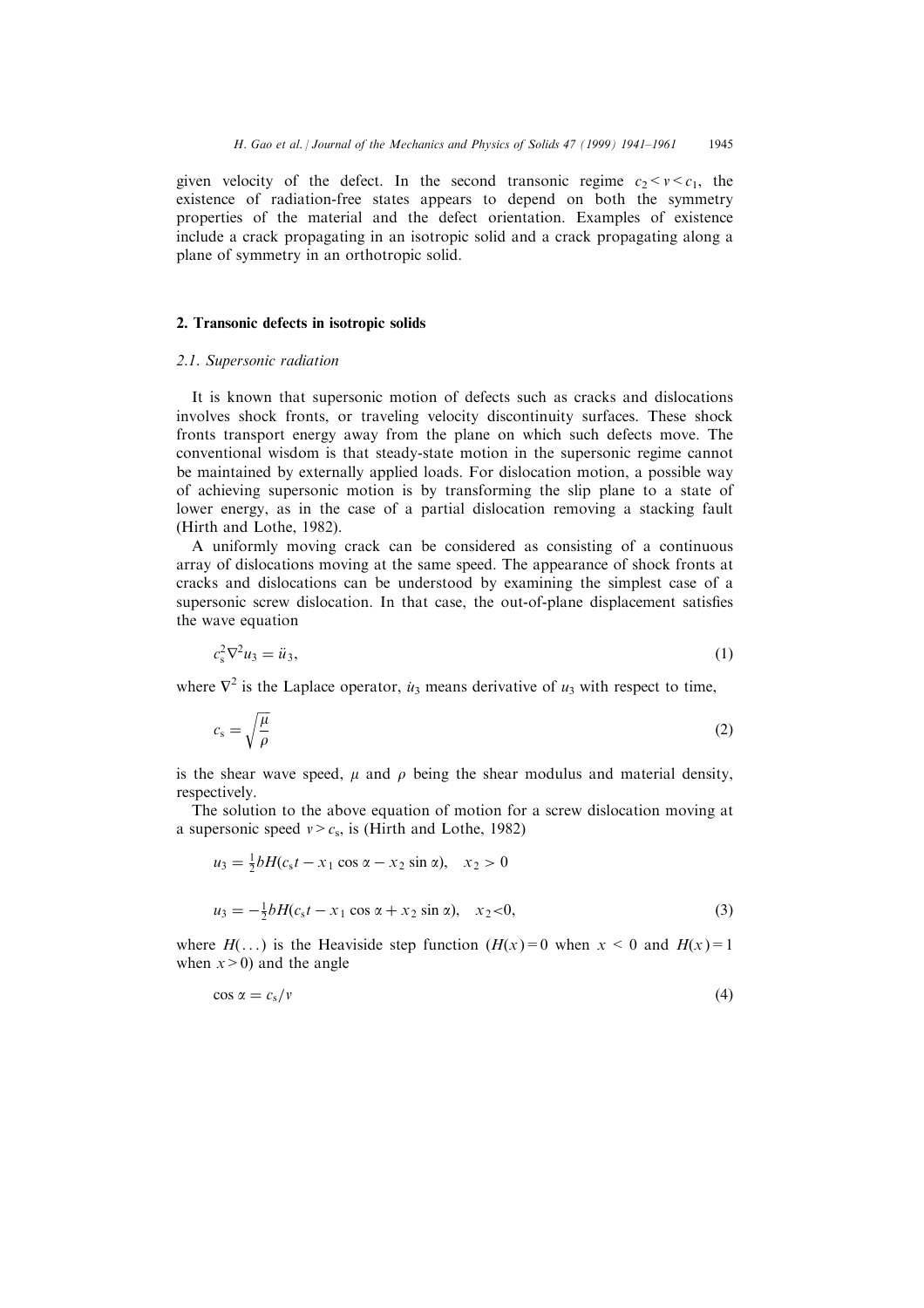given velocity of the defect. In the second transonic regime  $c_2 < v < c_1$ , the existence of radiation-free states appears to depend on both the symmetry properties of the material and the defect orientation. Examples of existence include a crack propagating in an isotropic solid and a crack propagating along a plane of symmetry in an orthotropic solid.

# 2. Transonic defects in isotropic solids

# 2.1. Supersonic radiation

It is known that supersonic motion of defects such as cracks and dislocations involves shock fronts, or traveling velocity discontinuity surfaces. These shock fronts transport energy away from the plane on which such defects move. The conventional wisdom is that steady-state motion in the supersonic regime cannot be maintained by externally applied loads. For dislocation motion, a possible way of achieving supersonic motion is by transforming the slip plane to a state of lower energy, as in the case of a partial dislocation removing a stacking fault (Hirth and Lothe, 1982).

A uniformly moving crack can be considered as consisting of a continuous array of dislocations moving at the same speed. The appearance of shock fronts at cracks and dislocations can be understood by examining the simplest case of a supersonic screw dislocation. In that case, the out-of-plane displacement satisfies the wave equation

$$
c_s^2 \nabla^2 u_3 = \ddot{u}_3,\tag{1}
$$

where  $\nabla^2$  is the Laplace operator,  $u_3$  means derivative of  $u_3$  with respect to time,

$$
c_{\rm s} = \sqrt{\frac{\mu}{\rho}}\tag{2}
$$

is the shear wave speed,  $\mu$  and  $\rho$  being the shear modulus and material density, respectively.

The solution to the above equation of motion for a screw dislocation moving at a supersonic speed  $v > c_s$ , is (Hirth and Lothe, 1982)

$$
u_3 = \frac{1}{2}bH(c_8t - x_1\cos\alpha - x_2\sin\alpha), \quad x_2 > 0
$$
  

$$
u_3 = -\frac{1}{2}bH(c_8t - x_1\cos\alpha + x_2\sin\alpha), \quad x_2 < 0,
$$
 (3)

where  $H(\ldots)$  is the Heaviside step function  $(H(x)=0$  when  $x < 0$  and  $H(x)=1$ when  $x>0$  and the angle

$$
\cos \alpha = c_s/v \tag{4}
$$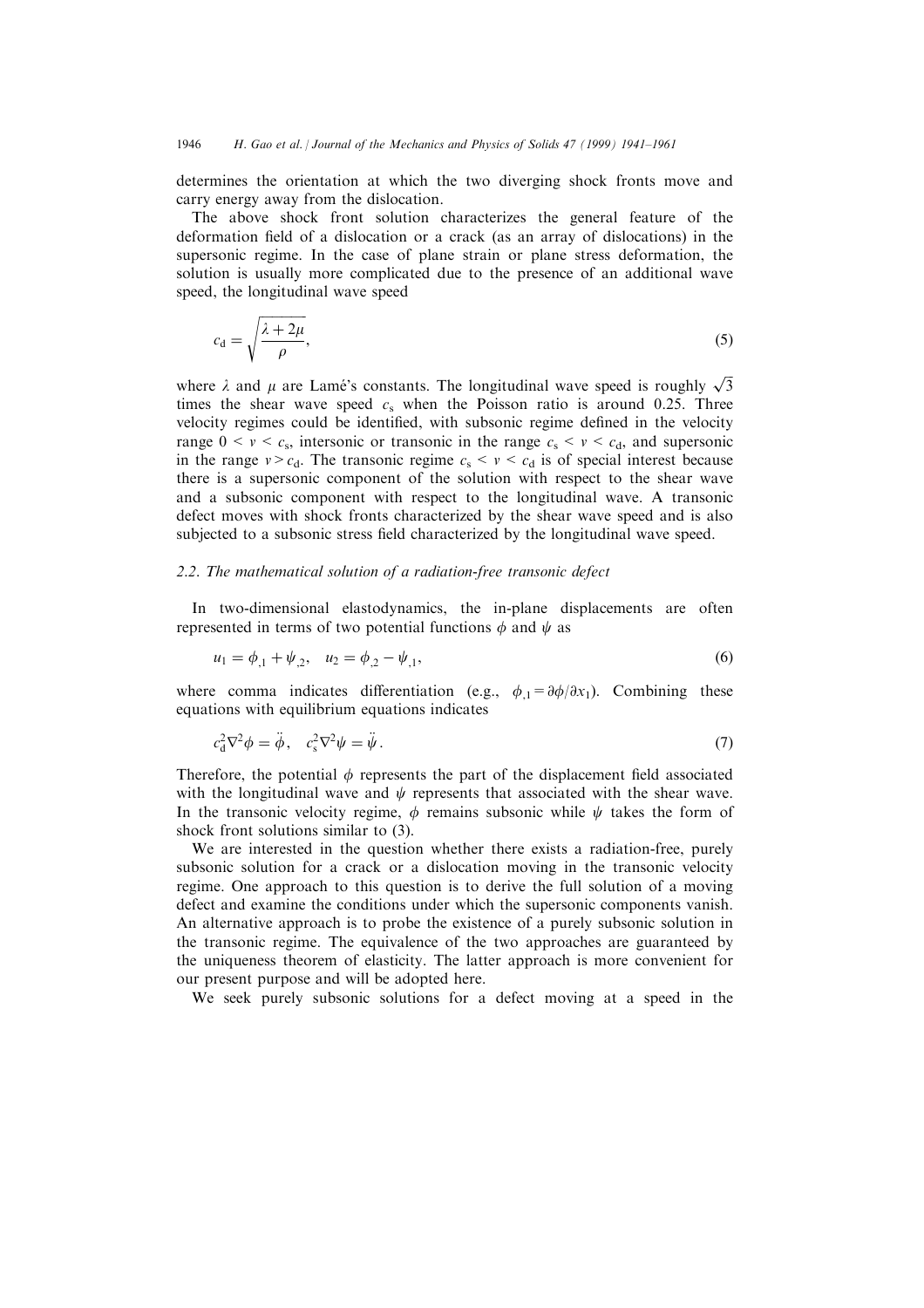determines the orientation at which the two diverging shock fronts move and carry energy away from the dislocation.

The above shock front solution characterizes the general feature of the deformation field of a dislocation or a crack (as an array of dislocations) in the supersonic regime. In the case of plane strain or plane stress deformation, the solution is usually more complicated due to the presence of an additional wave speed, the longitudinal wave speed

$$
c_{\rm d} = \sqrt{\frac{\lambda + 2\mu}{\rho}},\tag{5}
$$

where  $\lambda$  and  $\mu$  are Lamé's constants. The longitudinal wave speed is roughly  $\sqrt{3}$ times the shear wave speed  $c_s$  when the Poisson ratio is around 0.25. Three velocity regimes could be identified, with subsonic regime defined in the velocity range  $0 \le v \le c_s$ , intersonic or transonic in the range  $c_s \le v \le c_d$ , and supersonic in the range  $v > c_d$ . The transonic regime  $c_s < v < c_d$  is of special interest because there is a supersonic component of the solution with respect to the shear wave and a subsonic component with respect to the longitudinal wave. A transonic defect moves with shock fronts characterized by the shear wave speed and is also subjected to a subsonic stress field characterized by the longitudinal wave speed.

# 2.2. The mathematical solution of a radiation-free transonic defect

In two-dimensional elastodynamics, the in-plane displacements are often represented in terms of two potential functions  $\phi$  and  $\psi$  as

$$
u_1 = \phi_{,1} + \psi_{,2}, \quad u_2 = \phi_{,2} - \psi_{,1}, \tag{6}
$$

where comma indicates differentiation (e.g.,  $\phi_1 = \partial \phi / \partial x_1$ ). Combining these equations with equilibrium equations indicates

$$
c_{\rm d}^2 \nabla^2 \phi = \ddot{\phi}, \quad c_{\rm s}^2 \nabla^2 \psi = \ddot{\psi} \,. \tag{7}
$$

Therefore, the potential  $\phi$  represents the part of the displacement field associated with the longitudinal wave and  $\psi$  represents that associated with the shear wave. In the transonic velocity regime,  $\phi$  remains subsonic while  $\psi$  takes the form of shock front solutions similar to (3).

We are interested in the question whether there exists a radiation-free, purely subsonic solution for a crack or a dislocation moving in the transonic velocity regime. One approach to this question is to derive the full solution of a moving defect and examine the conditions under which the supersonic components vanish. An alternative approach is to probe the existence of a purely subsonic solution in the transonic regime. The equivalence of the two approaches are guaranteed by the uniqueness theorem of elasticity. The latter approach is more convenient for our present purpose and will be adopted here.

We seek purely subsonic solutions for a defect moving at a speed in the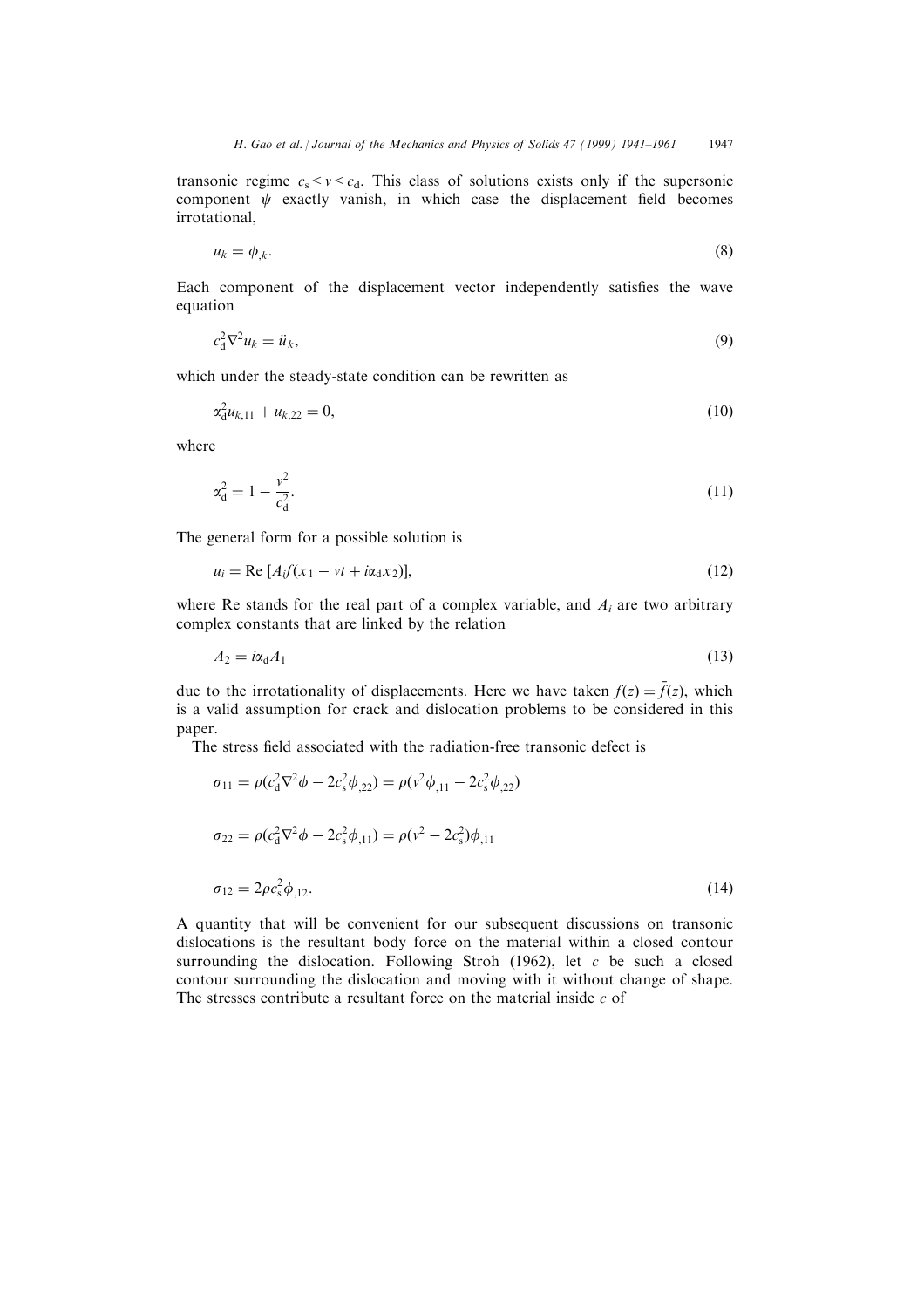transonic regime  $c_s < v < c_d$ . This class of solutions exists only if the supersonic component  $\psi$  exactly vanish, in which case the displacement field becomes irrotational,

$$
u_k = \phi_{k}.\tag{8}
$$

Each component of the displacement vector independently satisfies the wave equation

$$
c_{\rm d}^2 \nabla^2 u_k = \ddot{u}_k,\tag{9}
$$

which under the steady-state condition can be rewritten as

$$
\alpha_d^2 u_{k,11} + u_{k,22} = 0,\tag{10}
$$

where

$$
\alpha_{\rm d}^2 = 1 - \frac{v^2}{c_{\rm d}^2}.\tag{11}
$$

The general form for a possible solution is

$$
u_i = \text{Re}\left[A_i f(x_1 - vt + i\alpha_d x_2)\right],\tag{12}
$$

where Re stands for the real part of a complex variable, and  $A_i$  are two arbitrary complex constants that are linked by the relation

$$
A_2 = i\alpha_d A_1 \tag{13}
$$

due to the irrotationality of displacements. Here we have taken  $f(z) = \bar{f}(z)$ , which is a valid assumption for crack and dislocation problems to be considered in this paper.

The stress field associated with the radiation-free transonic defect is

$$
\sigma_{11} = \rho(c_{d}^{2}\nabla^{2}\phi - 2c_{s}^{2}\phi_{,22}) = \rho(v^{2}\phi_{,11} - 2c_{s}^{2}\phi_{,22})
$$
  
\n
$$
\sigma_{22} = \rho(c_{d}^{2}\nabla^{2}\phi - 2c_{s}^{2}\phi_{,11}) = \rho(v^{2} - 2c_{s}^{2})\phi_{,11}
$$
  
\n
$$
\sigma_{12} = 2\rho c_{s}^{2}\phi_{,12}.
$$
\n(14)

A quantity that will be convenient for our subsequent discussions on transonic dislocations is the resultant body force on the material within a closed contour surrounding the dislocation. Following Stroh (1962), let c be such a closed contour surrounding the dislocation and moving with it without change of shape. The stresses contribute a resultant force on the material inside  $c$  of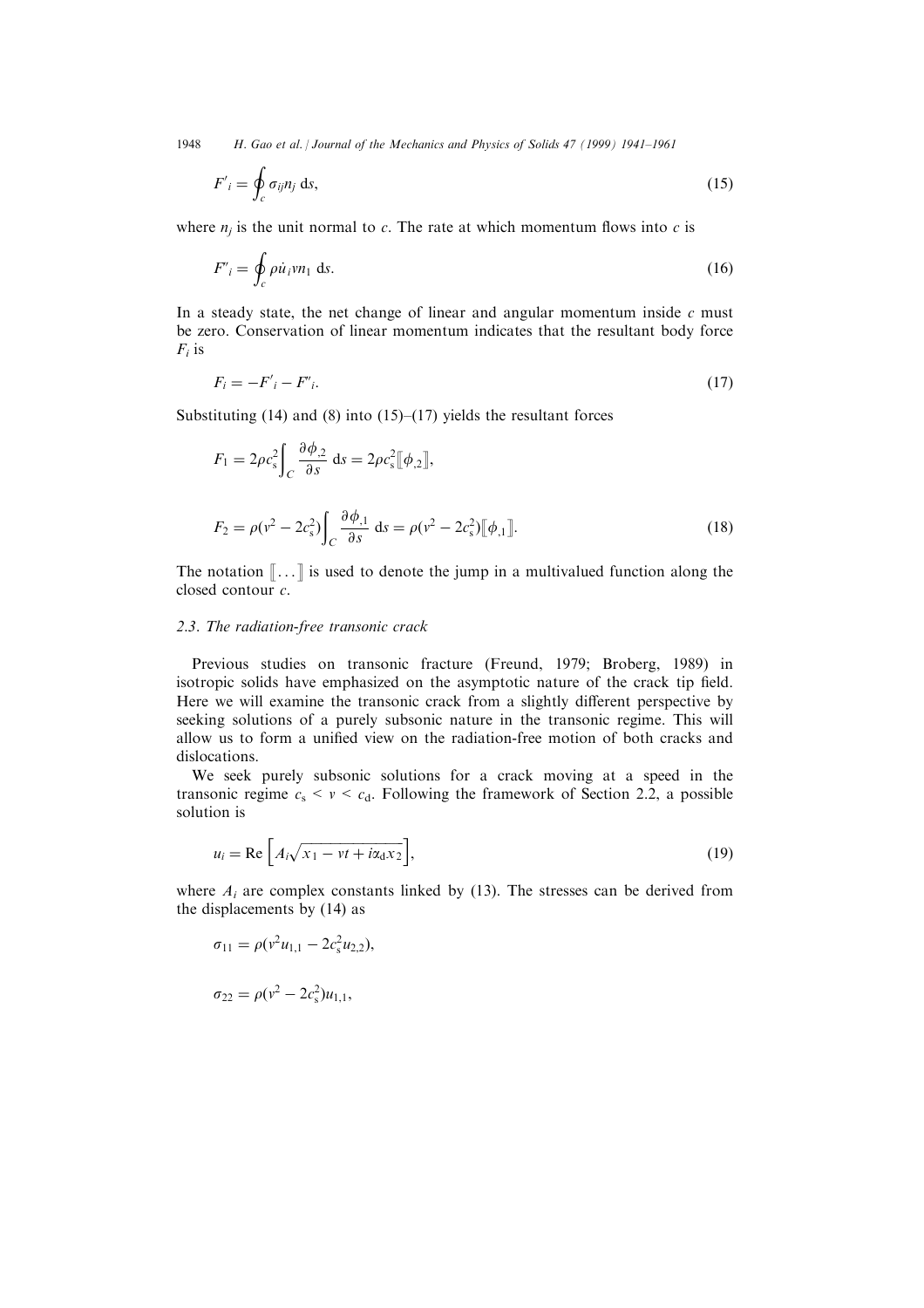1948 H. Gao et al. | Journal of the Mechanics and Physics of Solids 47 (1999) 1941-1961

$$
F'_{i} = \oint_{c} \sigma_{ij} n_{j} \, \mathrm{d}s,\tag{15}
$$

where  $n_i$  is the unit normal to c. The rate at which momentum flows into c is

$$
F'_{i} = \oint_{c} \rho \dot{u}_{i} v n_{1} \, \text{d}s. \tag{16}
$$

In a steady state, the net change of linear and angular momentum inside  $c$  must be zero. Conservation of linear momentum indicates that the resultant body force  $F_i$  is

$$
F_i = -F'_i - F'_i. \tag{17}
$$

Substituting  $(14)$  and  $(8)$  into  $(15)–(17)$  yields the resultant forces

$$
F_1 = 2\rho c_s^2 \int_C \frac{\partial \phi_{,2}}{\partial s} ds = 2\rho c_s^2 [\![\phi_{,2}]\!],
$$
  

$$
F_2 = \rho (v^2 - 2c_s^2) \int_C \frac{\partial \phi_{,1}}{\partial s} ds = \rho (v^2 - 2c_s^2) [\![\phi_{,1}]\!].
$$
 (18)

The notation  $\lbrack \cdot \cdot \cdot \rbrack$  is used to denote the jump in a multivalued function along the closed contour c.

# 2.3. The radiation-free transonic crack

Previous studies on transonic fracture (Freund, 1979; Broberg, 1989) in isotropic solids have emphasized on the asymptotic nature of the crack tip field. Here we will examine the transonic crack from a slightly different perspective by seeking solutions of a purely subsonic nature in the transonic regime. This will allow us to form a unified view on the radiation-free motion of both cracks and dislocations.

We seek purely subsonic solutions for a crack moving at a speed in the transonic regime  $c_s < v < c_d$ . Following the framework of Section 2.2, a possible solution is

$$
u_i = \text{Re}\left[A_i\sqrt{x_1 - vt + i\alpha_d x_2}\right],\tag{19}
$$

where  $A_i$  are complex constants linked by (13). The stresses can be derived from the displacements by (14) as

$$
\sigma_{11} = \rho(v^2 u_{1,1} - 2c_s^2 u_{2,2}),
$$
  
\n
$$
\sigma_{22} = \rho(v^2 - 2c_s^2)u_{1,1},
$$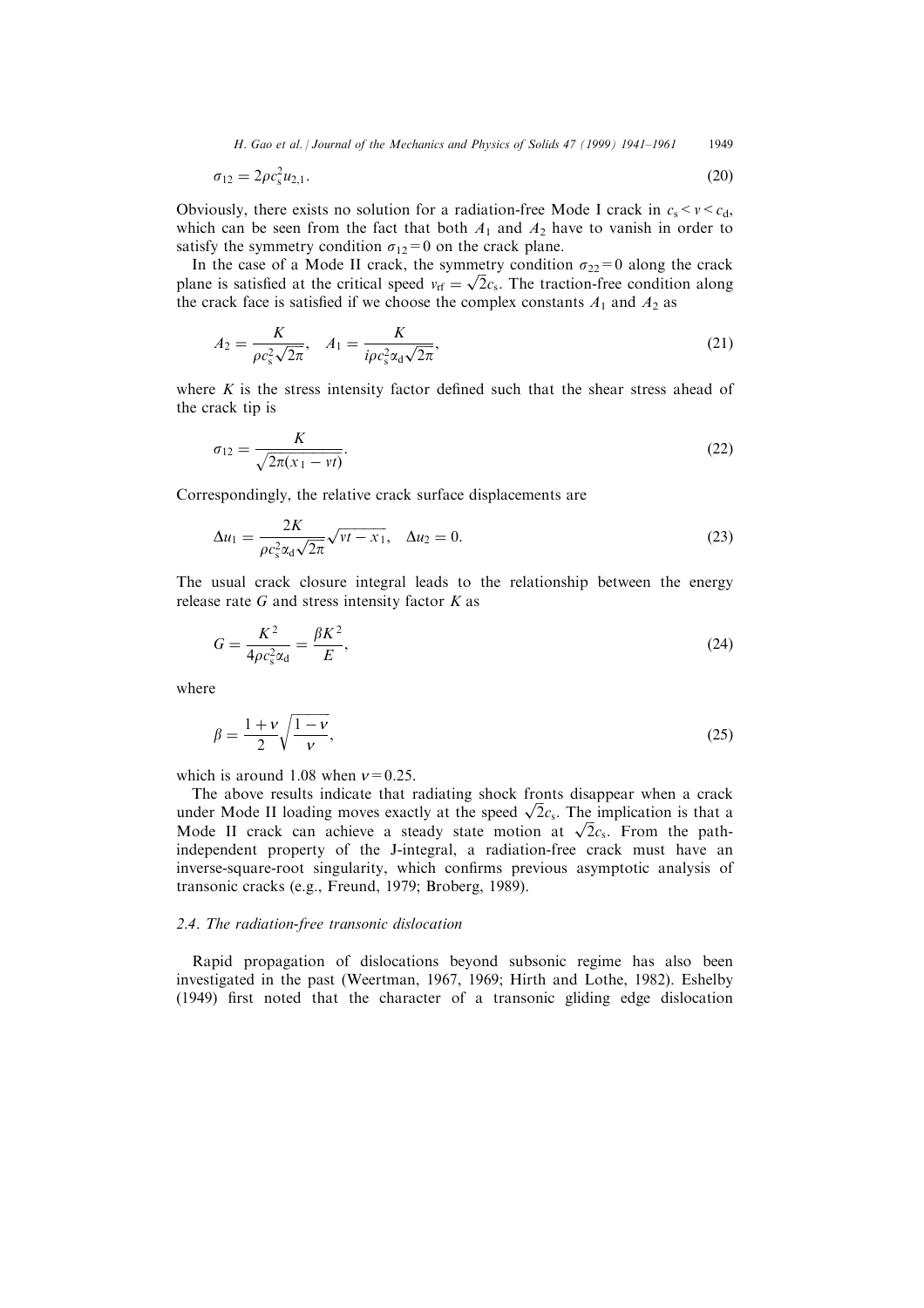H. Gao et al. / Journal of the Mechanics and Physics of Solids 47 (1999) 1941–1961 1949

$$
\sigma_{12} = 2\rho c_s^2 u_{2,1}.
$$
\n(20)

Obviously, there exists no solution for a radiation-free Mode I crack in  $c_s < v < c_d$ , which can be seen from the fact that both  $A_1$  and  $A_2$  have to vanish in order to satisfy the symmetry condition  $\sigma_{12}=0$  on the crack plane.

In the case of a Mode II crack, the symmetry condition  $\sigma_{22}=0$  along the crack plane is satisfied at the critical speed  $v_{rf} = \sqrt{2}c_s$ . The traction-free condition along the crack face is satisfied if we choose the complex constants  $A_1$  and  $A_2$  as

$$
A_2 = \frac{K}{\rho c_s^2 \sqrt{2\pi}}, \quad A_1 = \frac{K}{i\rho c_s^2 \alpha_d \sqrt{2\pi}},\tag{21}
$$

where  $K$  is the stress intensity factor defined such that the shear stress ahead of the crack tip is

$$
\sigma_{12} = \frac{K}{\sqrt{2\pi(x_1 - vt)}}.\tag{22}
$$

Correspondingly, the relative crack surface displacements are

$$
\Delta u_1 = \frac{2K}{\rho c_s^2 \alpha_d \sqrt{2\pi}} \sqrt{\nu t - x_1}, \quad \Delta u_2 = 0.
$$
\n(23)

The usual crack closure integral leads to the relationship between the energy release rate  $G$  and stress intensity factor  $K$  as

$$
G = \frac{K^2}{4\rho c_s^2 \alpha_d} = \frac{\beta K^2}{E},\tag{24}
$$

where

$$
\beta = \frac{1+v}{2} \sqrt{\frac{1-v}{v}},\tag{25}
$$

which is around 1.08 when  $v=0.25$ .

The above results indicate that radiating shock fronts disappear when a crack under Mode II loading moves exactly at the speed  $\sqrt{2}c_s$ . The implication is that a Mode II crack can achieve a steady state motion at  $\sqrt{2}c_s$ . From the pathindependent property of the J-integral, a radiation-free crack must have an inverse-square-root singularity, which confirms previous asymptotic analysis of transonic cracks (e.g., Freund, 1979; Broberg, 1989).

#### 2.4. The radiation-free transonic dislocation

Rapid propagation of dislocations beyond subsonic regime has also been investigated in the past (Weertman, 1967, 1969; Hirth and Lothe, 1982). Eshelby  $(1949)$  first noted that the character of a transonic gliding edge dislocation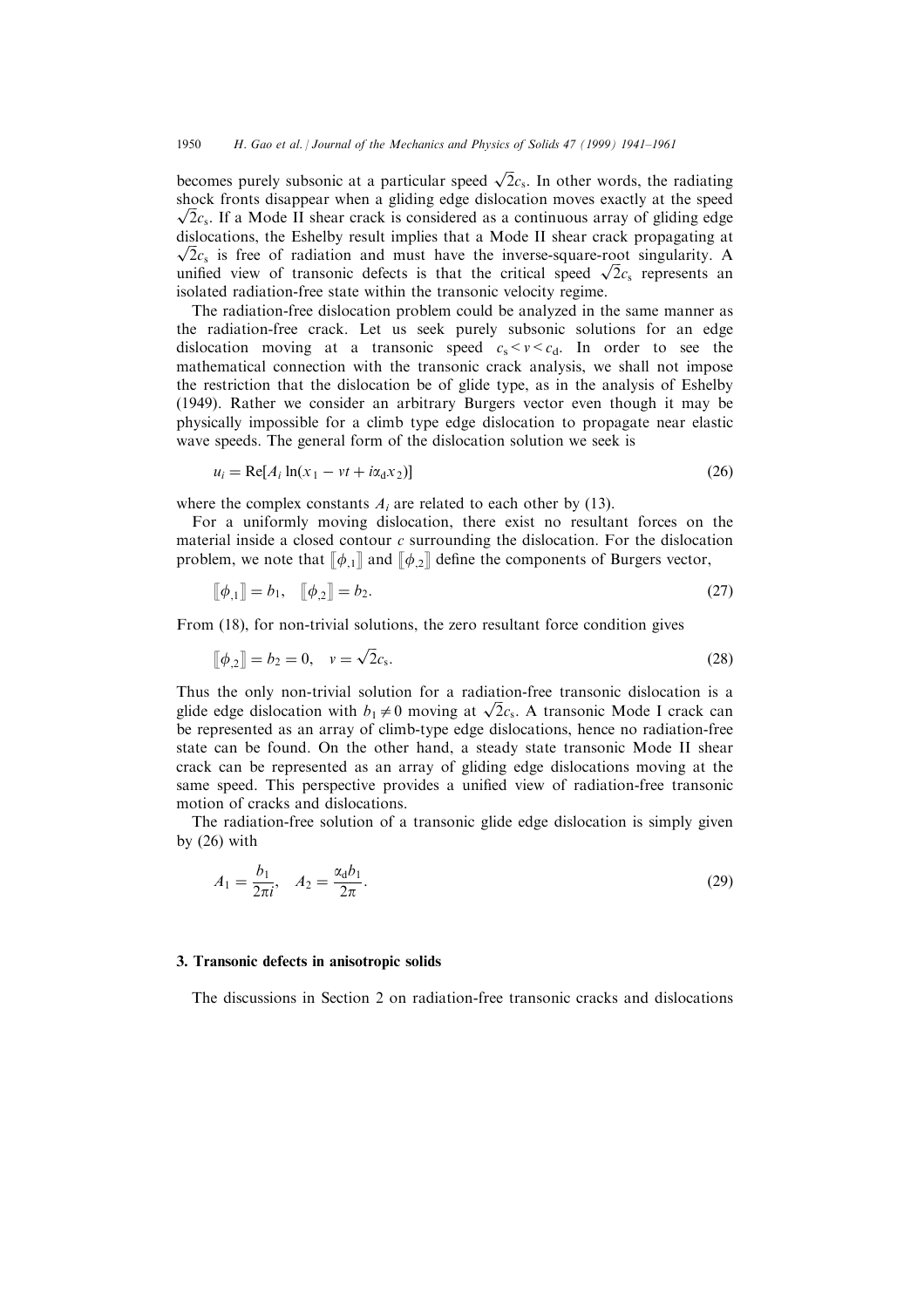becomes purely subsonic at a particular speed  $\sqrt{2}c_s$ . In other words, the radiating shock fronts disappear when a gliding edge dislocation moves exactly at the speed  $\sqrt{2}c_s$ . If a Mode II shear crack is considered as a continuous array of gliding edge dislocations, the Eshelby result implies that a Mode II shear crack propagating at  $\sqrt{2}c_s$  is free of radiation and must have the inverse-square-root singularity. A unified view of transonic defects is that the critical speed  $\sqrt{2}c_s$  represents an isolated radiation-free state within the transonic velocity regime.

The radiation-free dislocation problem could be analyzed in the same manner as the radiation-free crack. Let us seek purely subsonic solutions for an edge dislocation moving at a transonic speed  $c_s < v < c_d$ . In order to see the mathematical connection with the transonic crack analysis, we shall not impose the restriction that the dislocation be of glide type, as in the analysis of Eshelby (1949). Rather we consider an arbitrary Burgers vector even though it may be physically impossible for a climb type edge dislocation to propagate near elastic wave speeds. The general form of the dislocation solution we seek is

$$
u_i = \text{Re}[A_i \ln(x_1 - vt + i\alpha_d x_2)] \tag{26}
$$

where the complex constants  $A_i$  are related to each other by (13).

For a uniformly moving dislocation, there exist no resultant forces on the material inside a closed contour  $c$  surrounding the dislocation. For the dislocation problem, we note that  $[\![\phi_{1}]\!]$  and  $[\![\phi_{2}]\!]$  define the components of Burgers vector,

$$
\llbracket \phi_{,1} \rrbracket = b_1, \quad \llbracket \phi_{,2} \rrbracket = b_2. \tag{27}
$$

From (18), for non-trivial solutions, the zero resultant force condition gives

$$
[\![\phi_{,2}]\!] = b_2 = 0, \quad v = \sqrt{2}c_s. \tag{28}
$$

Thus the only non-trivial solution for a radiation-free transonic dislocation is a glide edge dislocation with  $b_1 \neq 0$  moving at  $\sqrt{2}c_s$ . A transonic Mode I crack can be represented as an array of climb-type edge dislocations, hence no radiation-free state can be found. On the other hand, a steady state transonic Mode II shear crack can be represented as an array of gliding edge dislocations moving at the same speed. This perspective provides a unified view of radiation-free transonic motion of cracks and dislocations.

The radiation-free solution of a transonic glide edge dislocation is simply given by (26) with

$$
A_1 = \frac{b_1}{2\pi i}, \quad A_2 = \frac{\alpha_d b_1}{2\pi}.
$$
 (29)

#### 3. Transonic defects in anisotropic solids

The discussions in Section 2 on radiation-free transonic cracks and dislocations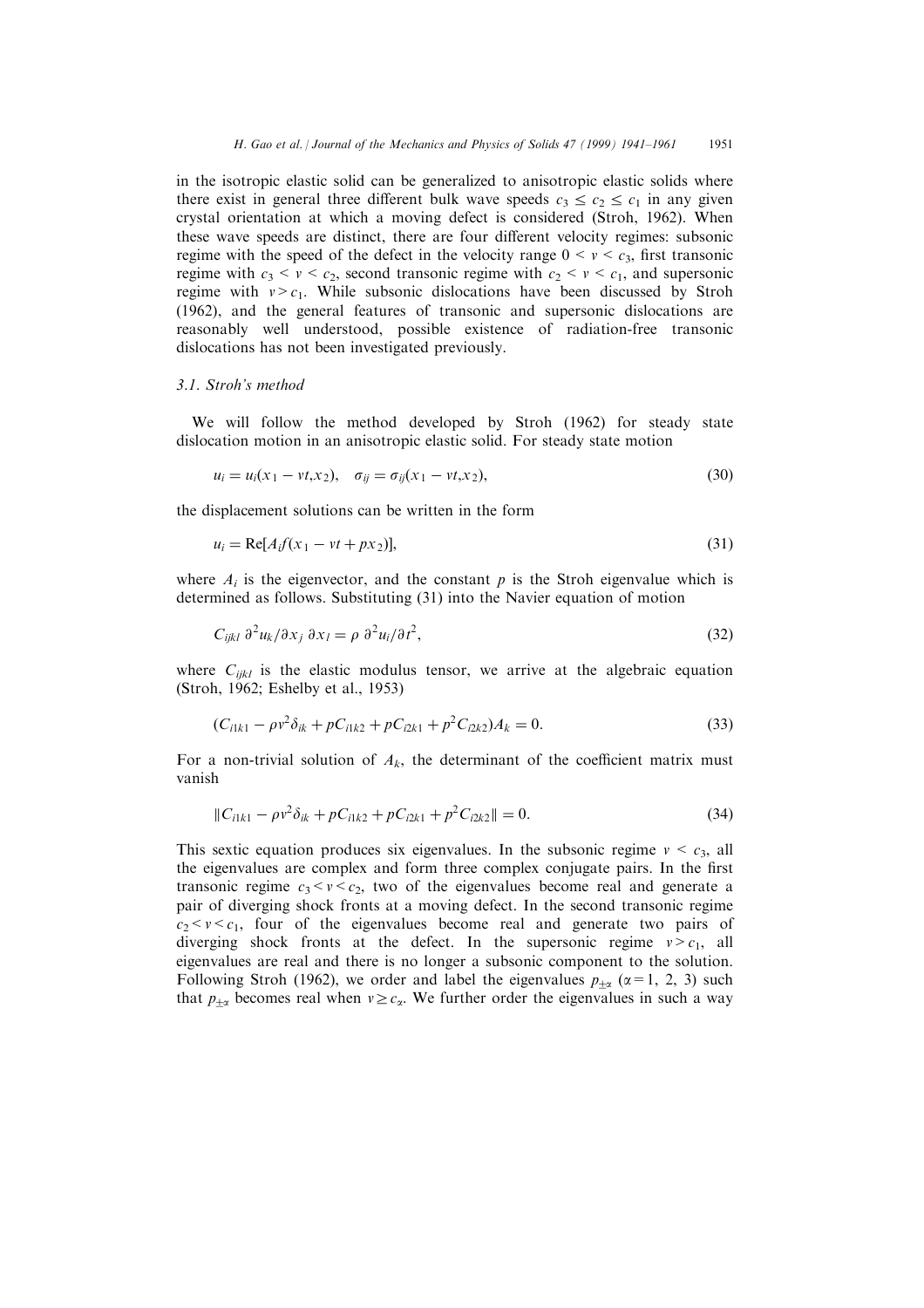in the isotropic elastic solid can be generalized to anisotropic elastic solids where there exist in general three different bulk wave speeds  $c_3 \leq c_2 \leq c_1$  in any given crystal orientation at which a moving defect is considered (Stroh, 1962). When these wave speeds are distinct, there are four different velocity regimes: subsonic regime with the speed of the defect in the velocity range  $0 \le v \le c_3$ , first transonic regime with  $c_3 < v < c_2$ , second transonic regime with  $c_2 < v < c_1$ , and supersonic regime with  $v > c_1$ . While subsonic dislocations have been discussed by Stroh (1962), and the general features of transonic and supersonic dislocations are reasonably well understood, possible existence of radiation-free transonic dislocations has not been investigated previously.

#### 3.1. Stroh's method

We will follow the method developed by Stroh (1962) for steady state dislocation motion in an anisotropic elastic solid. For steady state motion

$$
u_i = u_i(x_1 - vt, x_2), \quad \sigma_{ij} = \sigma_{ij}(x_1 - vt, x_2), \tag{30}
$$

the displacement solutions can be written in the form

$$
u_i = \text{Re}[A_i f(x_1 - vt + px_2)],\tag{31}
$$

where  $A_i$  is the eigenvector, and the constant p is the Stroh eigenvalue which is determined as follows. Substituting (31) into the Navier equation of motion

$$
C_{ijkl} \partial^2 u_k / \partial x_j \partial x_l = \rho \partial^2 u_i / \partial t^2, \qquad (32)
$$

where  $C_{ijkl}$  is the elastic modulus tensor, we arrive at the algebraic equation (Stroh, 1962; Eshelby et al., 1953)

$$
(C_{i1k1} - \rho v^2 \delta_{ik} + p C_{i1k2} + p C_{i2k1} + p^2 C_{i2k2}) A_k = 0.
$$
\n(33)

For a non-trivial solution of  $A_k$ , the determinant of the coefficient matrix must vanish

$$
||C_{i1k1} - \rho v^2 \delta_{ik} + pC_{i1k2} + pC_{i2k1} + p^2 C_{i2k2}|| = 0.
$$
 (34)

This sextic equation produces six eigenvalues. In the subsonic regime  $v < c_3$ , all the eigenvalues are complex and form three complex conjugate pairs. In the first transonic regime  $c_3 < v < c_2$ , two of the eigenvalues become real and generate a pair of diverging shock fronts at a moving defect. In the second transonic regime  $c_2 < v < c_1$ , four of the eigenvalues become real and generate two pairs of diverging shock fronts at the defect. In the supersonic regime  $v > c_1$ , all eigenvalues are real and there is no longer a subsonic component to the solution. Following Stroh (1962), we order and label the eigenvalues  $p_{+\alpha}$  ( $\alpha=1, 2, 3$ ) such that  $p_{+\alpha}$  becomes real when  $v \geq c_{\alpha}$ . We further order the eigenvalues in such a way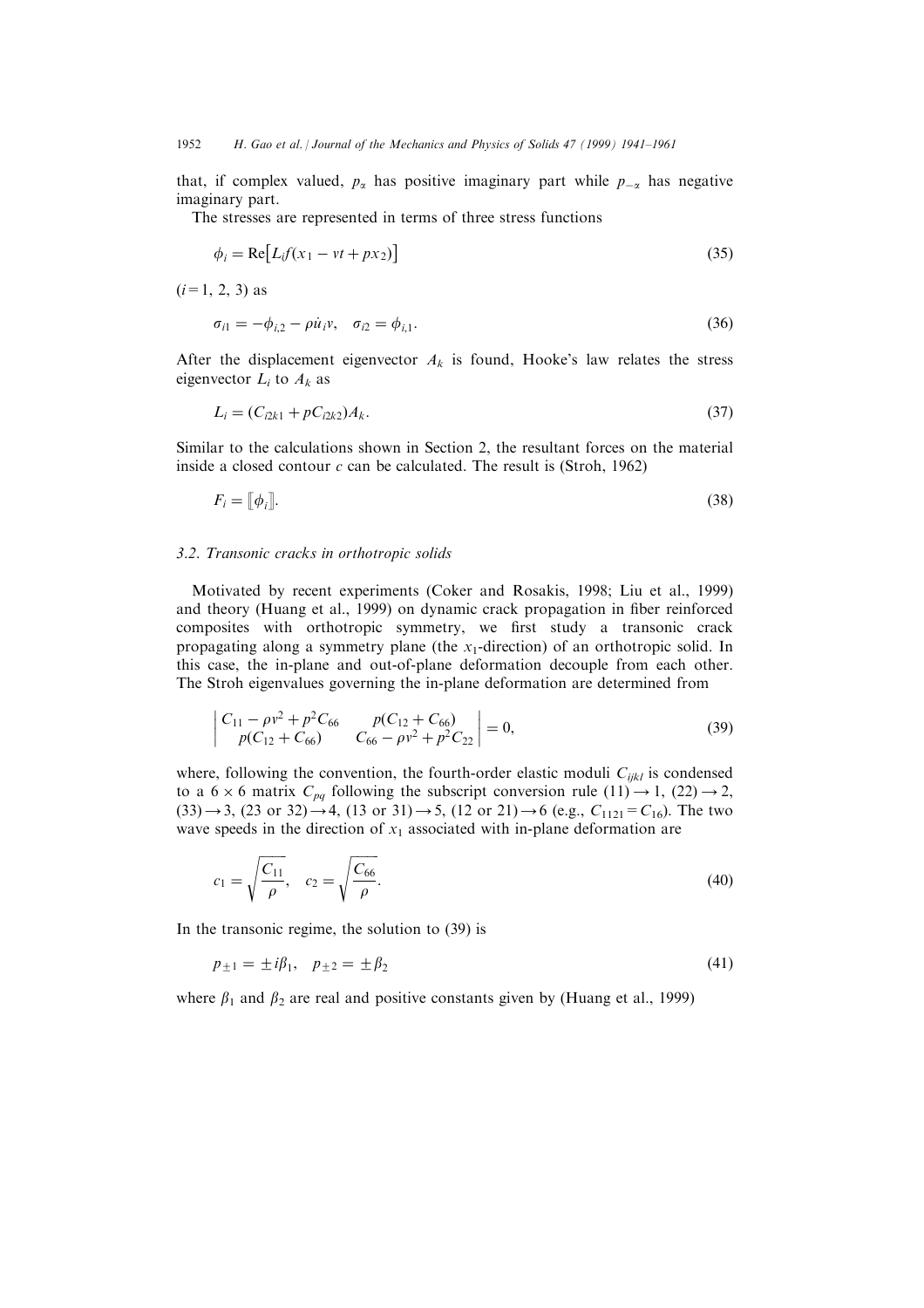that, if complex valued,  $p_{\alpha}$  has positive imaginary part while  $p_{-\alpha}$  has negative imaginary part.

The stresses are represented in terms of three stress functions

$$
\phi_i = \text{Re}[L_i f(x_1 - vt + px_2)] \tag{35}
$$

 $(i=1, 2, 3)$  as

$$
\sigma_{i1} = -\phi_{i,2} - \rho \dot{u}_i v, \quad \sigma_{i2} = \phi_{i,1}.
$$
\n(36)

After the displacement eigenvector  $A_k$  is found, Hooke's law relates the stress eigenvector  $L_i$  to  $A_k$  as

$$
L_i = (C_{i2k1} + pC_{i2k2})A_k.
$$
\n(37)

Similar to the calculations shown in Section 2, the resultant forces on the material inside a closed contour  $c$  can be calculated. The result is (Stroh, 1962)

$$
F_i = [\![\phi_i]\!].\tag{38}
$$

#### 3.2. Transonic cracks in orthotropic solids

Motivated by recent experiments (Coker and Rosakis, 1998; Liu et al., 1999) and theory (Huang et al., 1999) on dynamic crack propagation in fiber reinforced composites with orthotropic symmetry, we first study a transonic crack propagating along a symmetry plane (the  $x_1$ -direction) of an orthotropic solid. In this case, the in-plane and out-of-plane deformation decouple from each other. The Stroh eigenvalues governing the in-plane deformation are determined from

$$
\begin{vmatrix} C_{11} - \rho v^2 + p^2 C_{66} & p(C_{12} + C_{66}) \\ p(C_{12} + C_{66}) & C_{66} - \rho v^2 + p^2 C_{22} \end{vmatrix} = 0,
$$
\n(39)

where, following the convention, the fourth-order elastic moduli  $C_{ijkl}$  is condensed to a  $6 \times 6$  matrix  $C_{pq}$  following the subscript conversion rule  $(11) \rightarrow 1$ ,  $(22) \rightarrow 2$ ,  $(33) \rightarrow 3$ ,  $(23 \text{ or } 32) \rightarrow 4$ ,  $(13 \text{ or } 31) \rightarrow 5$ ,  $(12 \text{ or } 21) \rightarrow 6$  (e.g.,  $C_{1121} = C_{16}$ ). The two wave speeds in the direction of  $x_1$  associated with in-plane deformation are

$$
c_1 = \sqrt{\frac{C_{11}}{\rho}}, \quad c_2 = \sqrt{\frac{C_{66}}{\rho}}.
$$
\n(40)

In the transonic regime, the solution to (39) is

$$
p_{\pm 1} = \pm i\beta_1, \quad p_{\pm 2} = \pm \beta_2 \tag{41}
$$

where  $\beta_1$  and  $\beta_2$  are real and positive constants given by (Huang et al., 1999)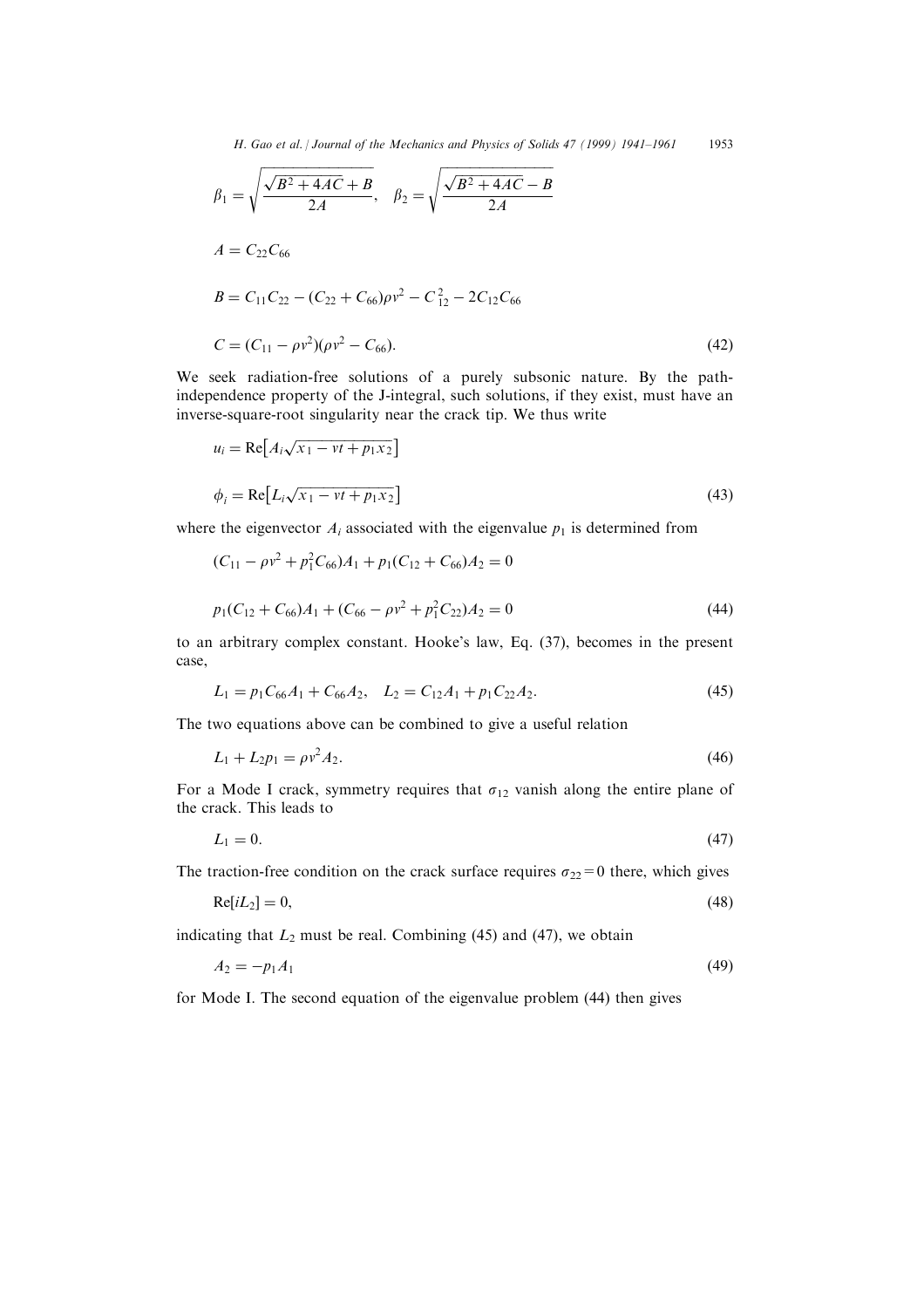$$
\beta_1 = \sqrt{\frac{\sqrt{B^2 + 4AC} + B}{2A}}, \quad \beta_2 = \sqrt{\frac{\sqrt{B^2 + 4AC} - B}{2A}}
$$
\n
$$
A = C_{22}C_{66}
$$
\n
$$
B = C_{11}C_{22} - (C_{22} + C_{66})\rho v^2 - C_{12}^2 - 2C_{12}C_{66}
$$
\n
$$
C = (C_{11} - \rho v^2)(\rho v^2 - C_{66}).
$$
\n(42)

We seek radiation-free solutions of a purely subsonic nature. By the pathindependence property of the J-integral, such solutions, if they exist, must have an inverse-square-root singularity near the crack tip. We thus write

$$
u_i = \text{Re}\big[A_i \sqrt{x_1 - vt + p_1 x_2}\big]
$$
  
\n
$$
\phi_i = \text{Re}\big[L_i \sqrt{x_1 - vt + p_1 x_2}\big]
$$
\n(43)

where the eigenvector  $A_i$  associated with the eigenvalue  $p_1$  is determined from

$$
(C_{11} - \rho v^2 + p_1^2 C_{66})A_1 + p_1(C_{12} + C_{66})A_2 = 0
$$
  

$$
p_1(C_{12} + C_{66})A_1 + (C_{66} - \rho v^2 + p_1^2 C_{22})A_2 = 0
$$
 (44)

to an arbitrary complex constant. Hooke's law, Eq. (37), becomes in the present case,

$$
L_1 = p_1 C_{66} A_1 + C_{66} A_2, \quad L_2 = C_{12} A_1 + p_1 C_{22} A_2. \tag{45}
$$

The two equations above can be combined to give a useful relation

$$
L_1 + L_2 p_1 = \rho v^2 A_2. \tag{46}
$$

For a Mode I crack, symmetry requires that  $\sigma_{12}$  vanish along the entire plane of the crack. This leads to

$$
L_1 = 0.\t\t(47)
$$

The traction-free condition on the crack surface requires  $\sigma_{22}=0$  there, which gives

$$
Re[iL_2] = 0,\t\t(48)
$$

indicating that  $L_2$  must be real. Combining (45) and (47), we obtain

$$
A_2 = -p_1 A_1 \tag{49}
$$

for Mode I. The second equation of the eigenvalue problem (44) then gives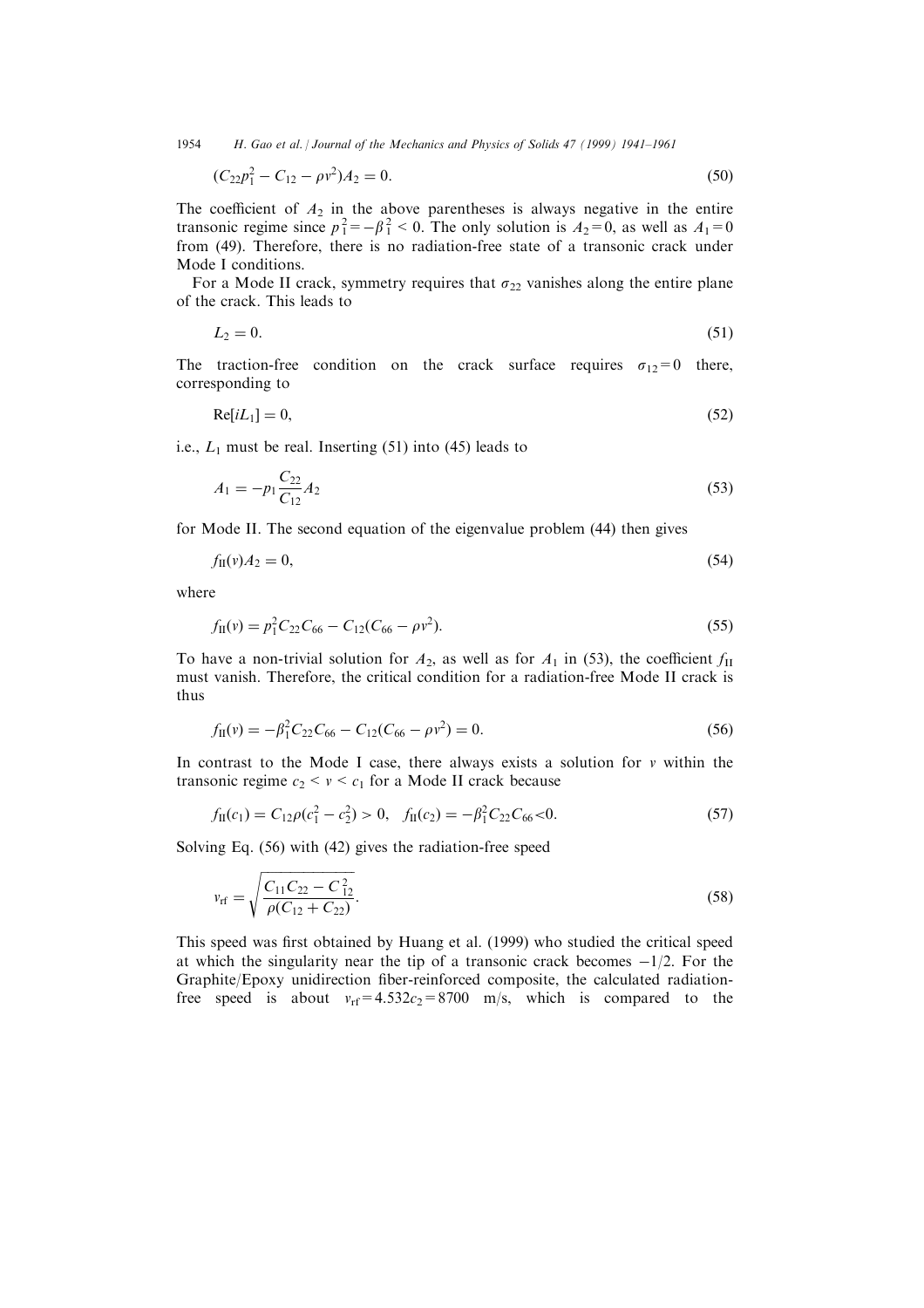1954 H. Gao et al. *| Journal of the Mechanics and Physics of Solids 47 (1999) 1941–1961* 

$$
(C_{22}p_1^2 - C_{12} - \rho v^2)A_2 = 0.
$$
\n(50)

The coefficient of  $A_2$  in the above parentheses is always negative in the entire transonic regime since  $p_1^2 = -\beta_1^2 < 0$ . The only solution is  $A_2 = 0$ , as well as  $A_1 = 0$ from (49). Therefore, there is no radiation-free state of a transonic crack under Mode I conditions.

For a Mode II crack, symmetry requires that  $\sigma_{22}$  vanishes along the entire plane of the crack. This leads to

$$
L_2 = 0.\t\t(51)
$$

The traction-free condition on the crack surface requires  $\sigma_{12}=0$  there, corresponding to

$$
Re[iL_1] = 0,\t\t(52)
$$

i.e.,  $L_1$  must be real. Inserting (51) into (45) leads to

$$
A_1 = -p_1 \frac{C_{22}}{C_{12}} A_2 \tag{53}
$$

for Mode II. The second equation of the eigenvalue problem (44) then gives

$$
f_{\rm II}(v)A_2 = 0,\t\t(54)
$$

where

$$
f_{\rm II}(v) = p_1^2 C_{22} C_{66} - C_{12} (C_{66} - \rho v^2). \tag{55}
$$

To have a non-trivial solution for  $A_2$ , as well as for  $A_1$  in (53), the coefficient  $f_{\text{II}}$ must vanish. Therefore, the critical condition for a radiation-free Mode II crack is thus

$$
f_{\rm II}(v) = -\beta_1^2 C_{22} C_{66} - C_{12} (C_{66} - \rho v^2) = 0.
$$
\n(56)

In contrast to the Mode I case, there always exists a solution for  $\nu$  within the transonic regime  $c_2 < v < c_1$  for a Mode II crack because

$$
f_{II}(c_1) = C_{12}\rho(c_1^2 - c_2^2) > 0, \quad f_{II}(c_2) = -\beta_1^2 C_{22} C_{66} < 0. \tag{57}
$$

Solving Eq. (56) with (42) gives the radiation-free speed

$$
v_{\rm rf} = \sqrt{\frac{C_{11}C_{22} - C_{12}^2}{\rho(C_{12} + C_{22})}}.
$$
\n(58)

This speed was first obtained by Huang et al. (1999) who studied the critical speed at which the singularity near the tip of a transonic crack becomes  $-1/2$ . For the Graphite/Epoxy unidirection fiber-reinforced composite, the calculated radiationfree speed is about  $v_{\text{rf}} = 4.532c_2 = 8700$  m/s, which is compared to the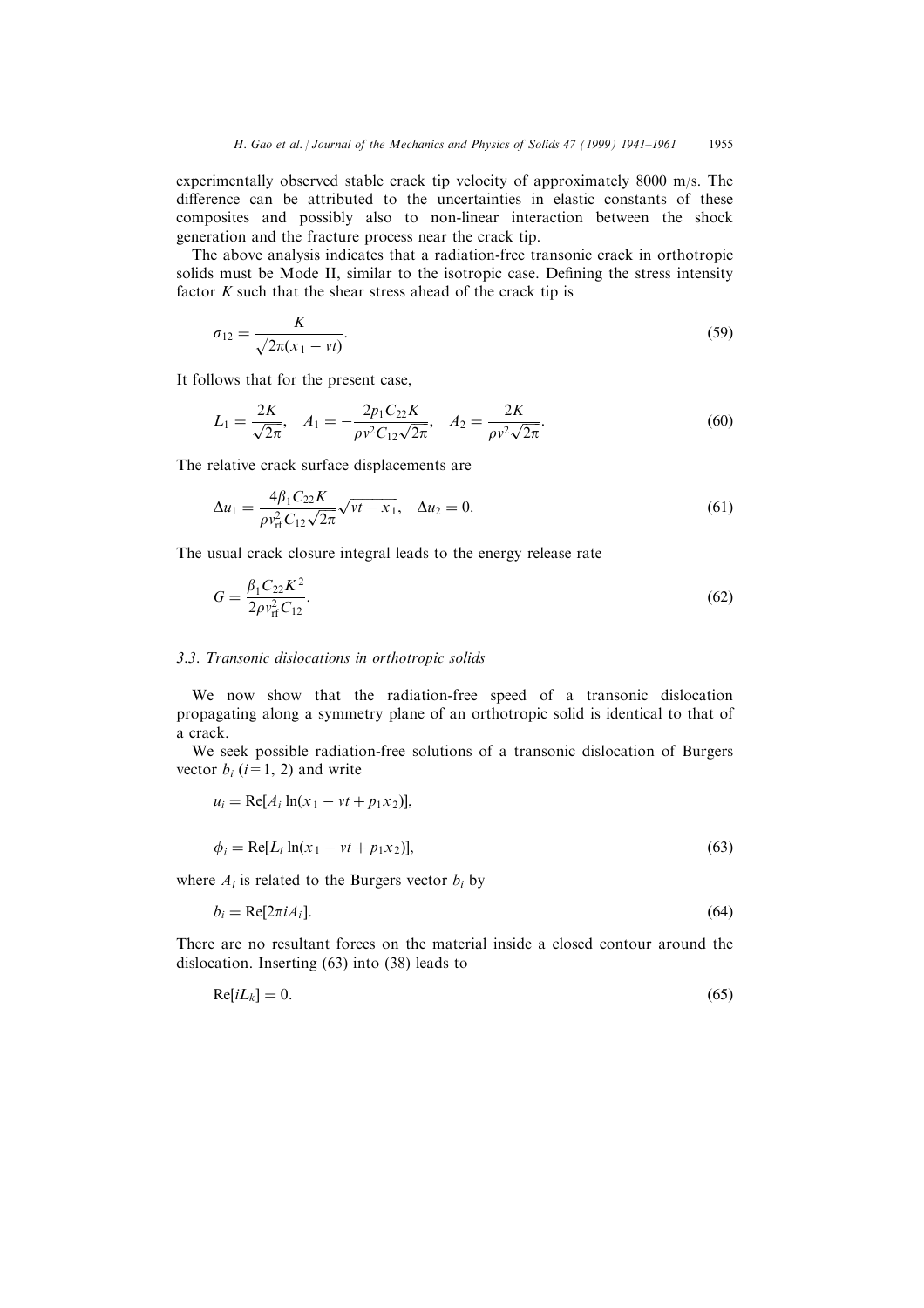experimentally observed stable crack tip velocity of approximately 8000 m/s. The difference can be attributed to the uncertainties in elastic constants of these composites and possibly also to non-linear interaction between the shock generation and the fracture process near the crack tip.

The above analysis indicates that a radiation-free transonic crack in orthotropic solids must be Mode II, similar to the isotropic case. Defining the stress intensity factor  $K$  such that the shear stress ahead of the crack tip is

$$
\sigma_{12} = \frac{K}{\sqrt{2\pi(x_1 - vt)}}.
$$
\n(59)

It follows that for the present case,

$$
L_1 = \frac{2K}{\sqrt{2\pi}}, \quad A_1 = -\frac{2p_1C_{22}K}{\rho v^2 C_{12}\sqrt{2\pi}}, \quad A_2 = \frac{2K}{\rho v^2 \sqrt{2\pi}}.
$$
(60)

The relative crack surface displacements are

$$
\Delta u_1 = \frac{4\beta_1 C_{22} K}{\rho v_{\rm rf}^2 C_{12} \sqrt{2\pi}} \sqrt{vt - x_1}, \quad \Delta u_2 = 0.
$$
\n(61)

The usual crack closure integral leads to the energy release rate

$$
G = \frac{\beta_1 C_{22} K^2}{2\rho v_{\rm rf}^2 C_{12}}.
$$
\n(62)

# 3.3. Transonic dislocations in orthotropic solids

We now show that the radiation-free speed of a transonic dislocation propagating along a symmetry plane of an orthotropic solid is identical to that of a crack.

We seek possible radiation-free solutions of a transonic dislocation of Burgers vector  $b_i$  (*i*=1, 2) and write

$$
u_i = \text{Re}[A_i \ln(x_1 - vt + p_1 x_2)],
$$

$$
\phi_i = \text{Re}[L_i \ln(x_1 - vt + p_1 x_2)],\tag{63}
$$

where  $A_i$  is related to the Burgers vector  $b_i$  by

$$
b_i = \text{Re}[2\pi i A_i].\tag{64}
$$

There are no resultant forces on the material inside a closed contour around the dislocation. Inserting (63) into (38) leads to

$$
Re[iL_k] = 0. \t\t(65)
$$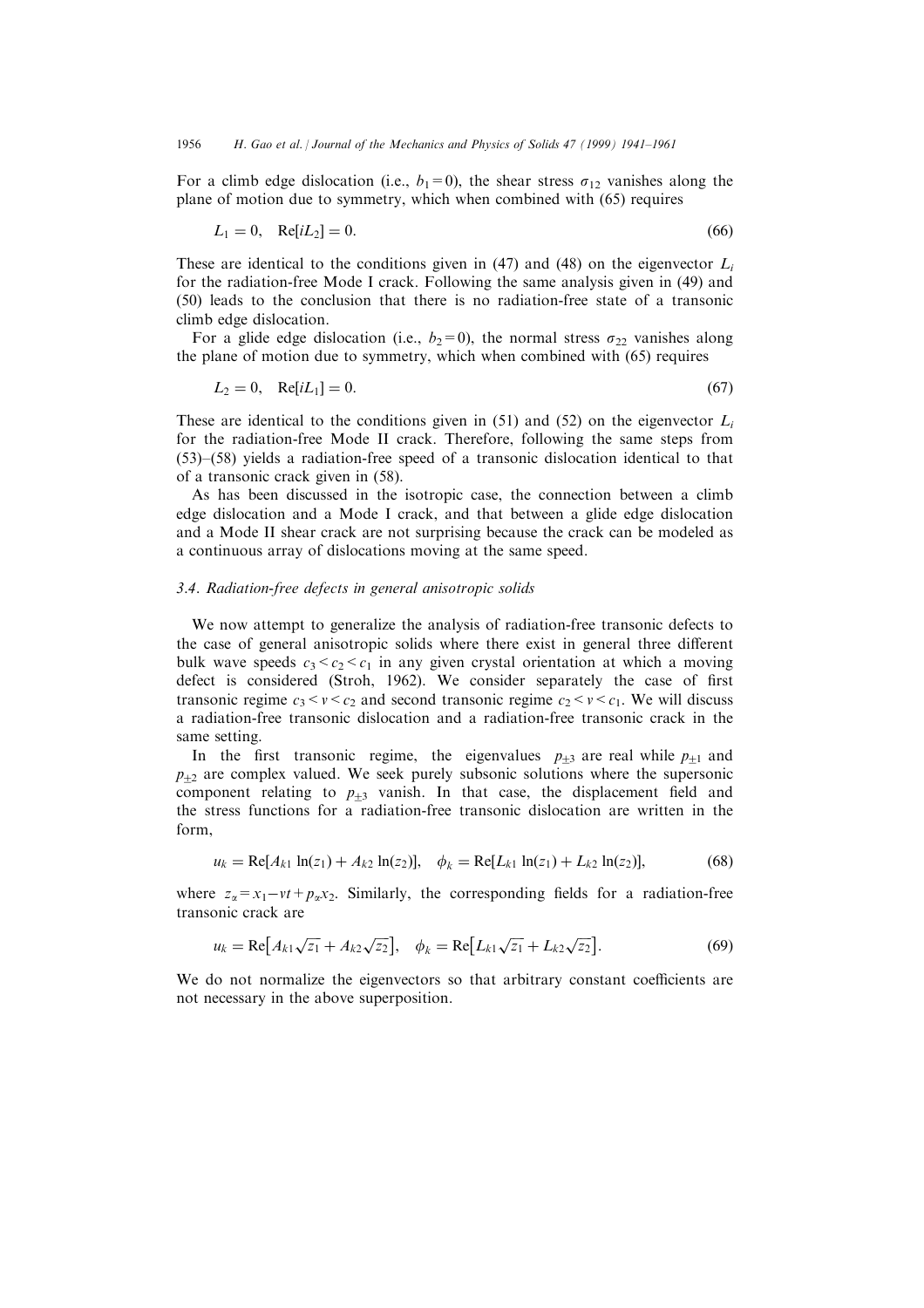For a climb edge dislocation (i.e.,  $b_1=0$ ), the shear stress  $\sigma_{12}$  vanishes along the plane of motion due to symmetry, which when combined with (65) requires

$$
L_1 = 0, \quad \text{Re}[iL_2] = 0. \tag{66}
$$

These are identical to the conditions given in (47) and (48) on the eigenvector  $L_i$ for the radiation-free Mode I crack. Following the same analysis given in (49) and (50) leads to the conclusion that there is no radiation-free state of a transonic climb edge dislocation.

For a glide edge dislocation (i.e.,  $b_2=0$ ), the normal stress  $\sigma_{22}$  vanishes along the plane of motion due to symmetry, which when combined with (65) requires

$$
L_2 = 0, \quad \text{Re}[iL_1] = 0. \tag{67}
$$

These are identical to the conditions given in (51) and (52) on the eigenvector  $L<sub>i</sub>$ for the radiation-free Mode II crack. Therefore, following the same steps from  $(53)$  $-(58)$  yields a radiation-free speed of a transonic dislocation identical to that of a transonic crack given in (58).

As has been discussed in the isotropic case, the connection between a climb edge dislocation and a Mode I crack, and that between a glide edge dislocation and a Mode II shear crack are not surprising because the crack can be modeled as a continuous array of dislocations moving at the same speed.

#### 3.4. Radiation-free defects in general anisotropic solids

We now attempt to generalize the analysis of radiation-free transonic defects to the case of general anisotropic solids where there exist in general three different bulk wave speeds  $c_3 < c_2 < c_1$  in any given crystal orientation at which a moving defect is considered (Stroh, 1962). We consider separately the case of first transonic regime  $c_3 < v < c_2$  and second transonic regime  $c_2 < v < c_1$ . We will discuss a radiation-free transonic dislocation and a radiation-free transonic crack in the same setting.

In the first transonic regime, the eigenvalues  $p_{+3}$  are real while  $p_{+1}$  and  $p_{+2}$  are complex valued. We seek purely subsonic solutions where the supersonic component relating to  $p_{+3}$  vanish. In that case, the displacement field and the stress functions for a radiation-free transonic dislocation are written in the form,

$$
u_k = \text{Re}[A_{k1} \ln(z_1) + A_{k2} \ln(z_2)], \quad \phi_k = \text{Re}[L_{k1} \ln(z_1) + L_{k2} \ln(z_2)], \tag{68}
$$

where  $z_{\alpha}=x_1-vt+p_{\alpha}x_2$ . Similarly, the corresponding fields for a radiation-free transonic crack are

$$
u_k = \text{Re}\big[A_{k1}\sqrt{z_1} + A_{k2}\sqrt{z_2}\big], \quad \phi_k = \text{Re}\big[L_{k1}\sqrt{z_1} + L_{k2}\sqrt{z_2}\big].\tag{69}
$$

We do not normalize the eigenvectors so that arbitrary constant coefficients are not necessary in the above superposition.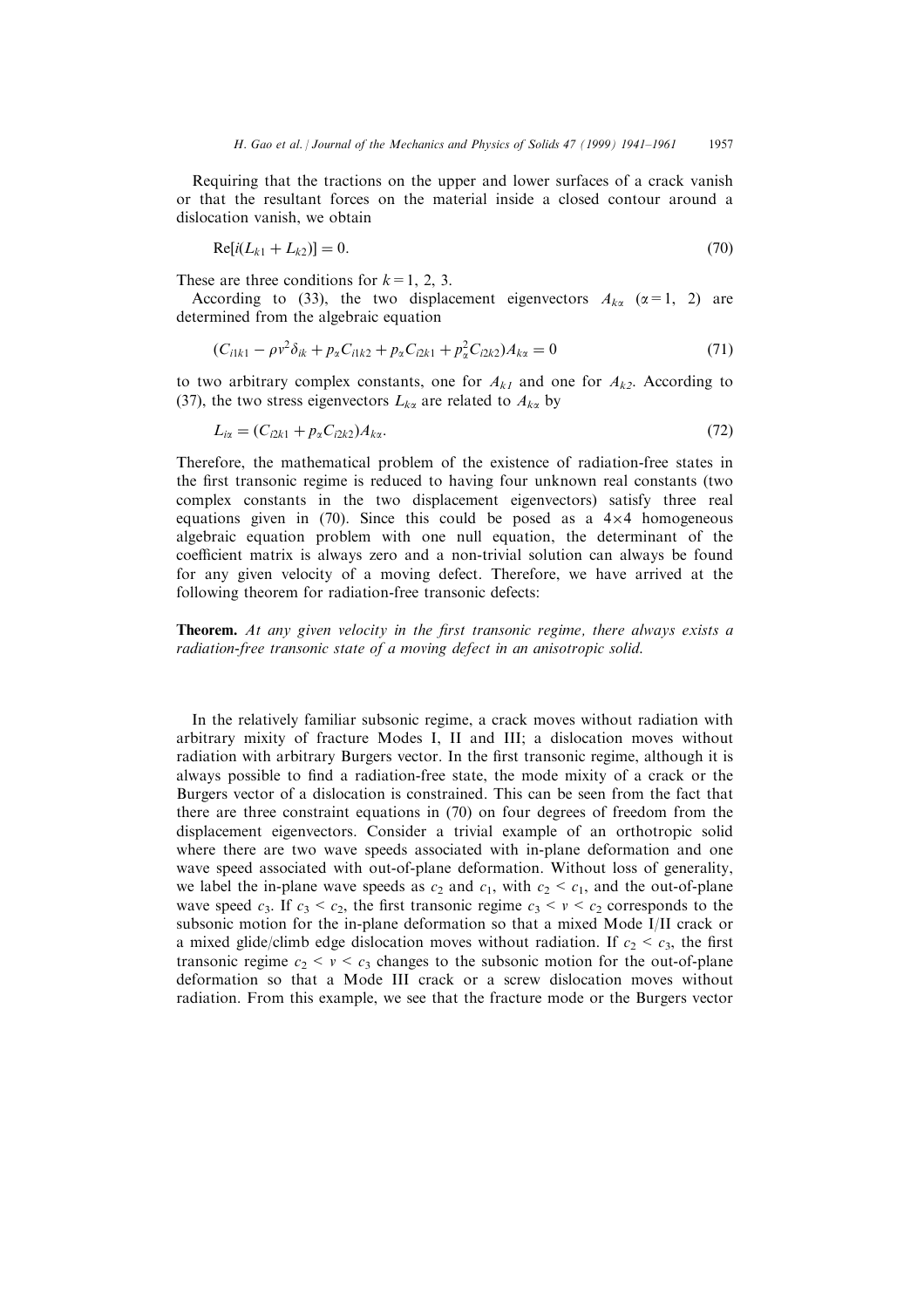Requiring that the tractions on the upper and lower surfaces of a crack vanish or that the resultant forces on the material inside a closed contour around a dislocation vanish, we obtain

$$
Re[i(L_{k1} + L_{k2})] = 0.
$$
\n(70)

These are three conditions for  $k=1, 2, 3$ .

According to (33), the two displacement eigenvectors  $A_{k\alpha}$  ( $\alpha=1, 2$ ) are determined from the algebraic equation

$$
(C_{i1k1} - \rho v^2 \delta_{ik} + p_{\alpha} C_{i1k2} + p_{\alpha} C_{i2k1} + p_{\alpha}^2 C_{i2k2}) A_{k\alpha} = 0
$$
\n(71)

to two arbitrary complex constants, one for  $A_{k1}$  and one for  $A_{k2}$ . According to (37), the two stress eigenvectors  $L_{k\alpha}$  are related to  $A_{k\alpha}$  by

$$
L_{i\alpha} = (C_{i2k1} + p_{\alpha} C_{i2k2}) A_{k\alpha}.
$$
\n(72)

Therefore, the mathematical problem of the existence of radiation-free states in the first transonic regime is reduced to having four unknown real constants (two complex constants in the two displacement eigenvectors) satisfy three real equations given in  $(70)$ . Since this could be posed as a  $4\times4$  homogeneous algebraic equation problem with one null equation, the determinant of the coefficient matrix is always zero and a non-trivial solution can always be found for any given velocity of a moving defect. Therefore, we have arrived at the following theorem for radiation-free transonic defects:

**Theorem.** At any given velocity in the first transonic regime, there always exists a radiation-free transonic state of a moving defect in an anisotropic solid.

In the relatively familiar subsonic regime, a crack moves without radiation with arbitrary mixity of fracture Modes I, II and III; a dislocation moves without radiation with arbitrary Burgers vector. In the first transonic regime, although it is always possible to find a radiation-free state, the mode mixity of a crack or the Burgers vector of a dislocation is constrained. This can be seen from the fact that there are three constraint equations in (70) on four degrees of freedom from the displacement eigenvectors. Consider a trivial example of an orthotropic solid where there are two wave speeds associated with in-plane deformation and one wave speed associated with out-of-plane deformation. Without loss of generality, we label the in-plane wave speeds as  $c_2$  and  $c_1$ , with  $c_2 < c_1$ , and the out-of-plane wave speed  $c_3$ . If  $c_3 < c_2$ , the first transonic regime  $c_3 < v < c_2$  corresponds to the subsonic motion for the in-plane deformation so that a mixed Mode I/II crack or a mixed glide/climb edge dislocation moves without radiation. If  $c_2 < c_3$ , the first transonic regime  $c_2 < v < c_3$  changes to the subsonic motion for the out-of-plane deformation so that a Mode III crack or a screw dislocation moves without radiation. From this example, we see that the fracture mode or the Burgers vector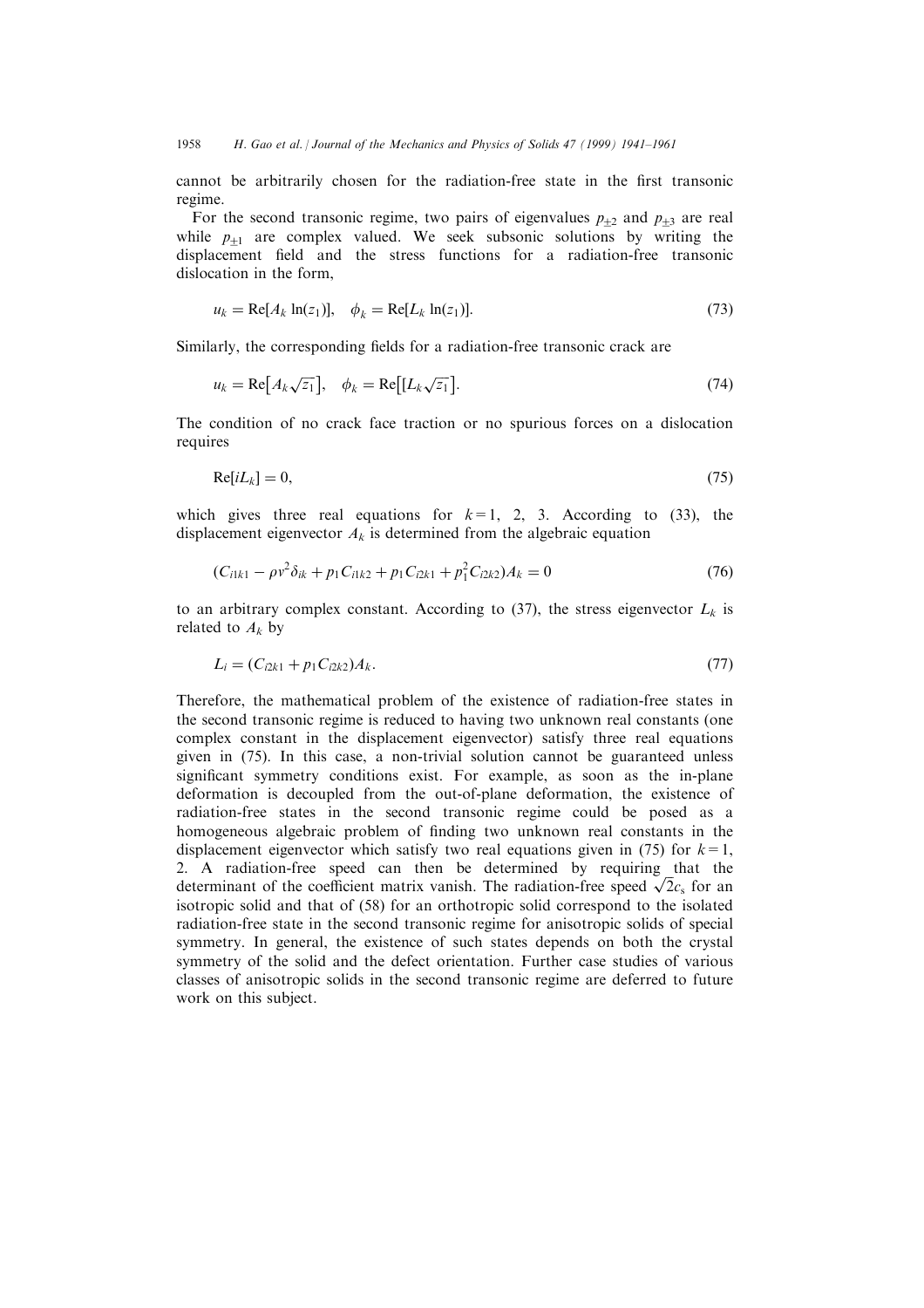cannot be arbitrarily chosen for the radiation-free state in the first transonic regime.

For the second transonic regime, two pairs of eigenvalues  $p_{+2}$  and  $p_{+3}$  are real while  $p_{+1}$  are complex valued. We seek subsonic solutions by writing the displacement field and the stress functions for a radiation-free transonic dislocation in the form,

$$
u_k = \text{Re}[A_k \ln(z_1)], \quad \phi_k = \text{Re}[L_k \ln(z_1)]. \tag{73}
$$

Similarly, the corresponding fields for a radiation-free transonic crack are

$$
u_k = \text{Re}\big[A_k \sqrt{z_1}\big], \quad \phi_k = \text{Re}\big[[L_k \sqrt{z_1}\big].\tag{74}
$$

The condition of no crack face traction or no spurious forces on a dislocation requires

$$
Re[iL_k] = 0,\t\t(75)
$$

which gives three real equations for  $k=1, 2, 3$ . According to (33), the displacement eigenvector  $A_k$  is determined from the algebraic equation

$$
(C_{i1k1} - \rho v^2 \delta_{ik} + p_1 C_{i1k2} + p_1 C_{i2k1} + p_1^2 C_{i2k2}) A_k = 0
$$
\n(76)

to an arbitrary complex constant. According to (37), the stress eigenvector  $L_k$  is related to  $A_k$  by

$$
L_i = (C_{i2k1} + p_1 C_{i2k2})A_k.
$$
\n(77)

Therefore, the mathematical problem of the existence of radiation-free states in the second transonic regime is reduced to having two unknown real constants (one complex constant in the displacement eigenvector) satisfy three real equations given in (75). In this case, a non-trivial solution cannot be guaranteed unless significant symmetry conditions exist. For example, as soon as the in-plane deformation is decoupled from the out-of-plane deformation, the existence of radiation-free states in the second transonic regime could be posed as a homogeneous algebraic problem of finding two unknown real constants in the displacement eigenvector which satisfy two real equations given in (75) for  $k=1$ , 2. A radiation-free speed can then be determined by requiring that the determinant of the coefficient matrix vanish. The radiation-free speed  $\sqrt{2}c_s$  for an isotropic solid and that of (58) for an orthotropic solid correspond to the isolated radiation-free state in the second transonic regime for anisotropic solids of special symmetry. In general, the existence of such states depends on both the crystal symmetry of the solid and the defect orientation. Further case studies of various classes of anisotropic solids in the second transonic regime are deferred to future work on this subject.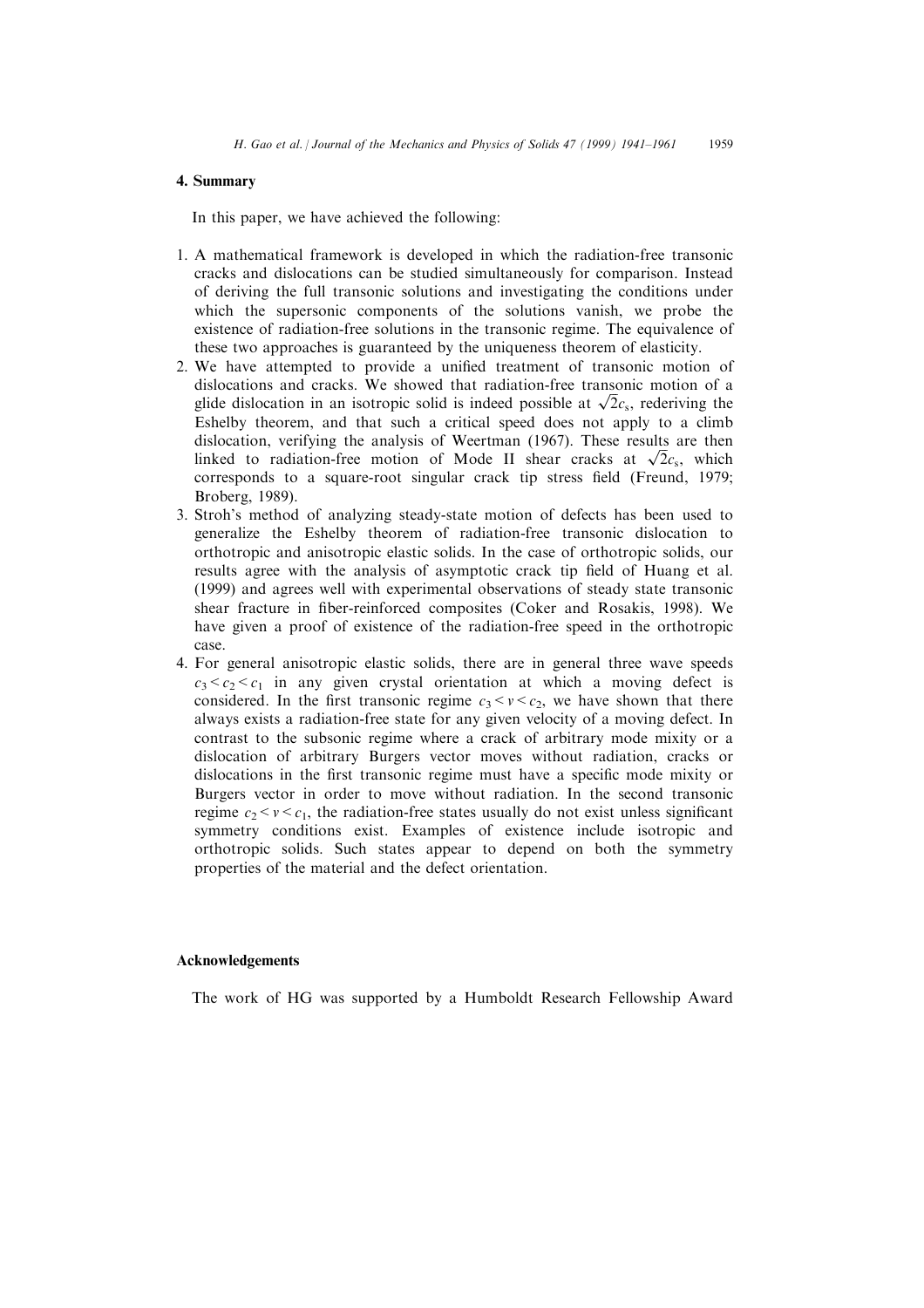# 4. Summary

In this paper, we have achieved the following:

- 1. A mathematical framework is developed in which the radiation-free transonic cracks and dislocations can be studied simultaneously for comparison. Instead of deriving the full transonic solutions and investigating the conditions under which the supersonic components of the solutions vanish, we probe the existence of radiation-free solutions in the transonic regime. The equivalence of these two approaches is guaranteed by the uniqueness theorem of elasticity.
- 2. We have attempted to provide a unified treatment of transonic motion of dislocations and cracks. We showed that radiation-free transonic motion of a glide dislocation in an isotropic solid is indeed possible at  $\sqrt{2}c_s$ , rederiving the Eshelby theorem, and that such a critical speed does not apply to a climb dislocation, verifying the analysis of Weertman (1967). These results are then linked to radiation-free motion of Mode II shear cracks at  $\sqrt{2}c_s$ , which corresponds to a square-root singular crack tip stress field (Freund, 1979; Broberg, 1989).
- 3. Stroh's method of analyzing steady-state motion of defects has been used to generalize the Eshelby theorem of radiation-free transonic dislocation to orthotropic and anisotropic elastic solids. In the case of orthotropic solids, our results agree with the analysis of asymptotic crack tip field of Huang et al. (1999) and agrees well with experimental observations of steady state transonic shear fracture in fiber-reinforced composites (Coker and Rosakis, 1998). We have given a proof of existence of the radiation-free speed in the orthotropic case.
- 4. For general anisotropic elastic solids, there are in general three wave speeds  $c_3 < c_2 < c_1$  in any given crystal orientation at which a moving defect is considered. In the first transonic regime  $c_3 < v < c_2$ , we have shown that there always exists a radiation-free state for any given velocity of a moving defect. In contrast to the subsonic regime where a crack of arbitrary mode mixity or a dislocation of arbitrary Burgers vector moves without radiation, cracks or dislocations in the first transonic regime must have a specific mode mixity or Burgers vector in order to move without radiation. In the second transonic regime  $c_2 < v < c_1$ , the radiation-free states usually do not exist unless significant symmetry conditions exist. Examples of existence include isotropic and orthotropic solids. Such states appear to depend on both the symmetry properties of the material and the defect orientation.

# Acknowledgements

The work of HG was supported by a Humboldt Research Fellowship Award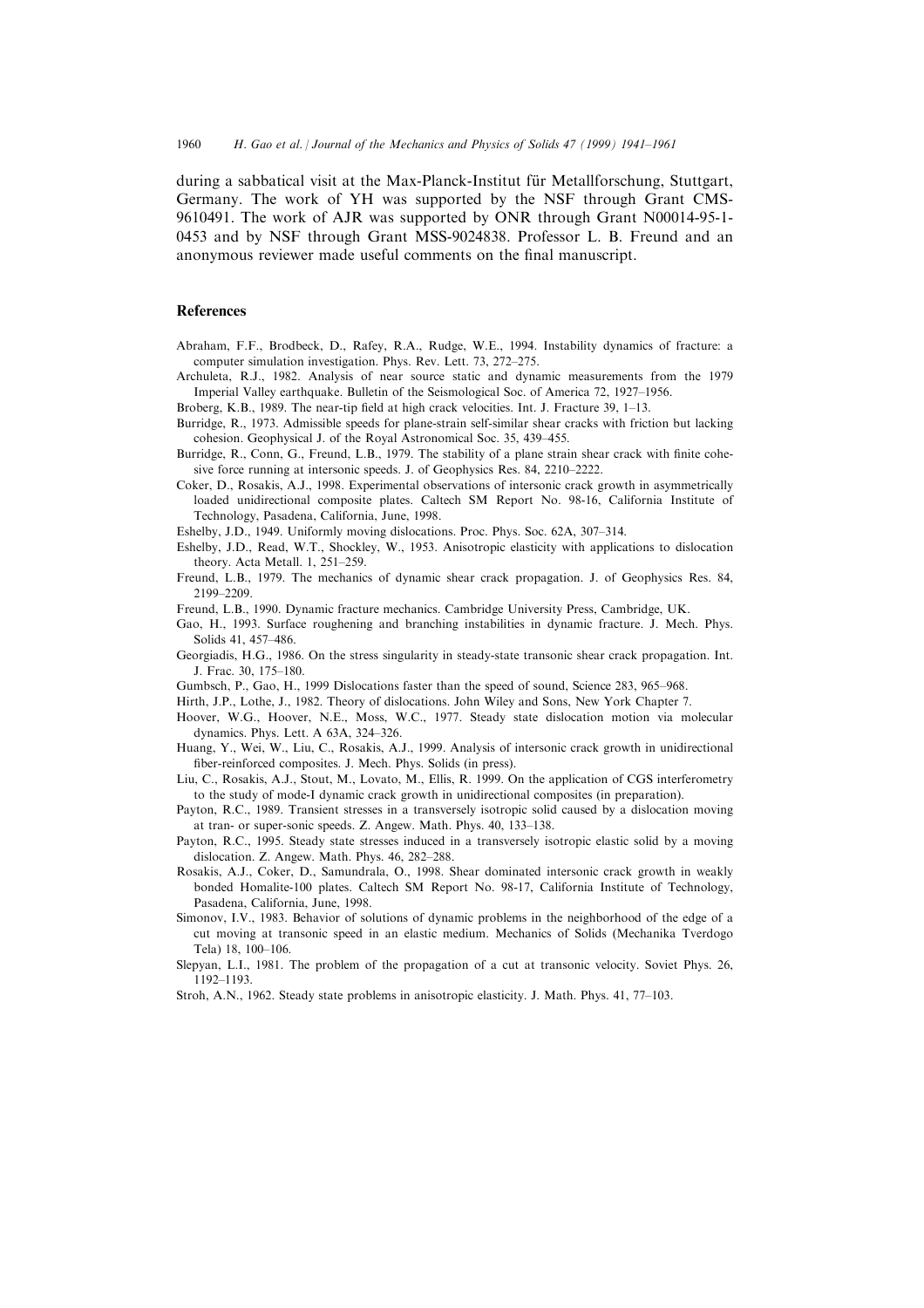during a sabbatical visit at the Max-Planck-Institut für Metallforschung, Stuttgart, Germany. The work of YH was supported by the NSF through Grant CMS-9610491. The work of AJR was supported by ONR through Grant N00014-95-1- 0453 and by NSF through Grant MSS-9024838. Professor L. B. Freund and an anonymous reviewer made useful comments on the final manuscript.

#### References

- Abraham, F.F., Brodbeck, D., Rafey, R.A., Rudge, W.E., 1994. Instability dynamics of fracture: a computer simulation investigation. Phys. Rev. Lett. 73, 272-275.
- Archuleta, R.J., 1982. Analysis of near source static and dynamic measurements from the 1979 Imperial Valley earthquake. Bulletin of the Seismological Soc. of America 72, 1927–1956.
- Broberg, K.B., 1989. The near-tip field at high crack velocities. Int. J. Fracture 39, 1-13.
- Burridge, R., 1973. Admissible speeds for plane-strain self-similar shear cracks with friction but lacking cohesion. Geophysical J. of the Royal Astronomical Soc. 35, 439-455.
- Burridge, R., Conn, G., Freund, L.B., 1979. The stability of a plane strain shear crack with finite cohesive force running at intersonic speeds. J. of Geophysics Res. 84, 2210-2222.
- Coker, D., Rosakis, A.J., 1998. Experimental observations of intersonic crack growth in asymmetrically loaded unidirectional composite plates. Caltech SM Report No. 98-16, California Institute of Technology, Pasadena, California, June, 1998.
- Eshelby, J.D., 1949. Uniformly moving dislocations. Proc. Phys. Soc. 62A, 307-314.
- Eshelby, J.D., Read, W.T., Shockley, W., 1953. Anisotropic elasticity with applications to dislocation theory. Acta Metall. 1, 251-259.
- Freund, L.B., 1979. The mechanics of dynamic shear crack propagation. J. of Geophysics Res. 84, 2199±2209.
- Freund, L.B., 1990. Dynamic fracture mechanics. Cambridge University Press, Cambridge, UK.
- Gao, H., 1993. Surface roughening and branching instabilities in dynamic fracture. J. Mech. Phys. Solids 41, 457-486.
- Georgiadis, H.G., 1986. On the stress singularity in steady-state transonic shear crack propagation. Int. J. Frac. 30, 175-180.
- Gumbsch, P., Gao, H., 1999 Dislocations faster than the speed of sound, Science 283, 965-968.
- Hirth, J.P., Lothe, J., 1982. Theory of dislocations. John Wiley and Sons, New York Chapter 7.
- Hoover, W.G., Hoover, N.E., Moss, W.C., 1977. Steady state dislocation motion via molecular dynamics. Phys. Lett. A  $63A$ ,  $324-326$ .
- Huang, Y., Wei, W., Liu, C., Rosakis, A.J., 1999. Analysis of intersonic crack growth in unidirectional fiber-reinforced composites. J. Mech. Phys. Solids (in press).
- Liu, C., Rosakis, A.J., Stout, M., Lovato, M., Ellis, R. 1999. On the application of CGS interferometry to the study of mode-I dynamic crack growth in unidirectional composites (in preparation).
- Payton, R.C., 1989. Transient stresses in a transversely isotropic solid caused by a dislocation moving at tran- or super-sonic speeds. Z. Angew. Math. Phys. 40, 133-138.
- Payton, R.C., 1995. Steady state stresses induced in a transversely isotropic elastic solid by a moving dislocation. Z. Angew. Math. Phys.  $46$ ,  $282-288$ .
- Rosakis, A.J., Coker, D., Samundrala, O., 1998. Shear dominated intersonic crack growth in weakly bonded Homalite-100 plates. Caltech SM Report No. 98-17, California Institute of Technology, Pasadena, California, June, 1998.
- Simonov, I.V., 1983. Behavior of solutions of dynamic problems in the neighborhood of the edge of a cut moving at transonic speed in an elastic medium. Mechanics of Solids (Mechanika Tverdogo Tela) 18, 100-106.
- Slepyan, L.I., 1981. The problem of the propagation of a cut at transonic velocity. Soviet Phys. 26, 1192±1193.
- Stroh, A.N., 1962. Steady state problems in anisotropic elasticity. J. Math. Phys. 41, 77-103.